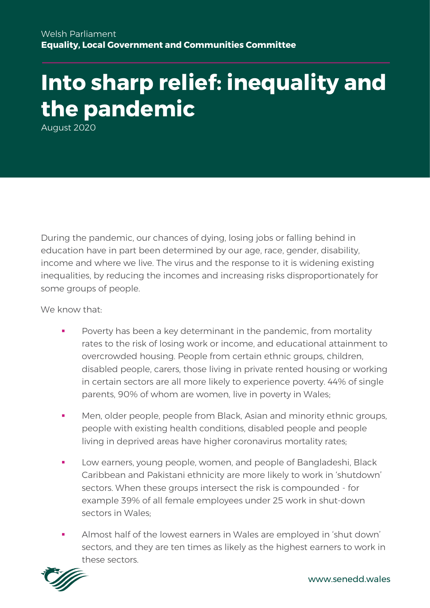# **Into sharp relief: inequality and the pandemic**

August 2020

During the pandemic, our chances of dying, losing jobs or falling behind in education have in part been determined by our age, race, gender, disability, income and where we live. The virus and the response to it is widening existing inequalities, by reducing the incomes and increasing risks disproportionately for some groups of people.

We know that:

- Poverty has been a key determinant in the pandemic, from mortality rates to the risk of losing work or income, and educational attainment to overcrowded housing. People from certain ethnic groups, children, disabled people, carers, those living in private rented housing or working in certain sectors are all more likely to experience poverty. 44% of single parents, 90% of whom are women, live in poverty in Wales;
- Men, older people, people from Black, Asian and minority ethnic groups, people with existing health conditions, disabled people and people living in deprived areas have higher coronavirus mortality rates;
- Low earners, young people, women, and people of Bangladeshi, Black Caribbean and Pakistani ethnicity are more likely to work in 'shutdown' sectors. When these groups intersect the risk is compounded - for example 39% of all female employees under 25 work in shut-down sectors in Wales;
- Almost half of the lowest earners in Wales are employed in 'shut down' sectors, and they are ten times as likely as the highest earners to work in these sectors.

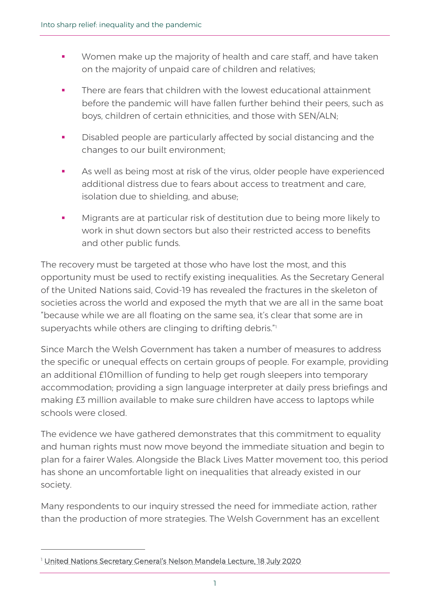- **■** Women make up the majority of health and care staff, and have taken on the majority of unpaid care of children and relatives;
- **•** There are fears that children with the lowest educational attainment before the pandemic will have fallen further behind their peers, such as boys, children of certain ethnicities, and those with SEN/ALN;
- **•** Disabled people are particularly affected by social distancing and the changes to our built environment;
- **EXEDENT As well as being most at risk of the virus, older people have experienced** additional distress due to fears about access to treatment and care, isolation due to shielding, and abuse;
- **■** Migrants are at particular risk of destitution due to being more likely to work in shut down sectors but also their restricted access to benefits and other public funds.

The recovery must be targeted at those who have lost the most, and this opportunity must be used to rectify existing inequalities. As the Secretary General of the United Nations said, Covid-19 has revealed the fractures in the skeleton of societies across the world and exposed the myth that we are all in the same boat "because while we are all floating on the same sea, it's clear that some are in superyachts while others are clinging to drifting debris."<sup>1</sup>

Since March the Welsh Government has taken a number of measures to address the specific or unequal effects on certain groups of people. For example, providing an additional £10million of funding to help get rough sleepers into temporary accommodation; providing a sign language interpreter at daily press briefings and making £3 million available to make sure children have access to laptops while schools were closed.

The evidence we have gathered demonstrates that this commitment to equality and human rights must now move beyond the immediate situation and begin to plan for a fairer Wales. Alongside the Black Lives Matter movement too, this period has shone an uncomfortable light on inequalities that already existed in our society.

Many respondents to our inquiry stressed the need for immediate action, rather than the production of more strategies. The Welsh Government has an excellent

<sup>&</sup>lt;sup>1</sup> [United Nations Secretary General's Nelson Mandela Lecture, 18 July 2020](https://www.un.org/sg/en/content/sg/statement/2020-07-18/secretary-generals-nelson-mandela-lecture-%E2%80%9Ctackling-the-inequality-pandemic-new-social-contract-for-new-era%E2%80%9D-delivered)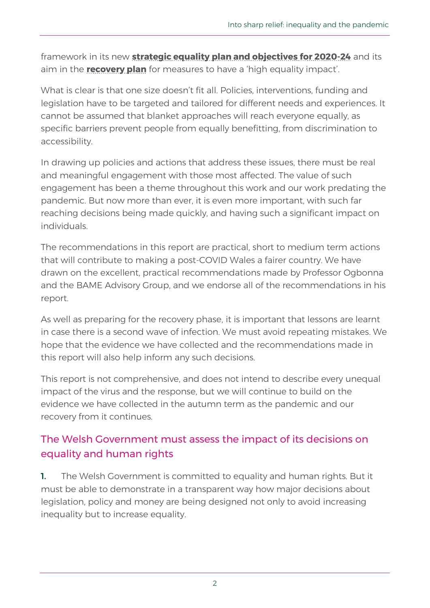framework in its new **[strategic equality plan and objectives](https://gov.wales/equality-plan-and-objectives-2020-2024) for 2020-24** and its aim in the **[recovery plan](https://gov.wales/leading-wales-out-coronavirus-pandemic-html)** for measures to have a 'high equality impact'.

What is clear is that one size doesn't fit all. Policies, interventions, funding and legislation have to be targeted and tailored for different needs and experiences. It cannot be assumed that blanket approaches will reach everyone equally, as specific barriers prevent people from equally benefitting, from discrimination to accessibility.

In drawing up policies and actions that address these issues, there must be real and meaningful engagement with those most affected. The value of such engagement has been a theme throughout this work and our work predating the pandemic. But now more than ever, it is even more important, with such far reaching decisions being made quickly, and having such a significant impact on individuals.

The recommendations in this report are practical, short to medium term actions that will contribute to making a post-COVID Wales a fairer country. We have drawn on the excellent, practical recommendations made by Professor Ogbonna and the BAME Advisory Group, and we endorse all of the recommendations in his report.

As well as preparing for the recovery phase, it is important that lessons are learnt in case there is a second wave of infection. We must avoid repeating mistakes. We hope that the evidence we have collected and the recommendations made in this report will also help inform any such decisions.

This report is not comprehensive, and does not intend to describe every unequal impact of the virus and the response, but we will continue to build on the evidence we have collected in the autumn term as the pandemic and our recovery from it continues.

# The Welsh Government must assess the impact of its decisions on equality and human rights

**1.** The Welsh Government is committed to equality and human rights. But it must be able to demonstrate in a transparent way how major decisions about legislation, policy and money are being designed not only to avoid increasing inequality but to increase equality.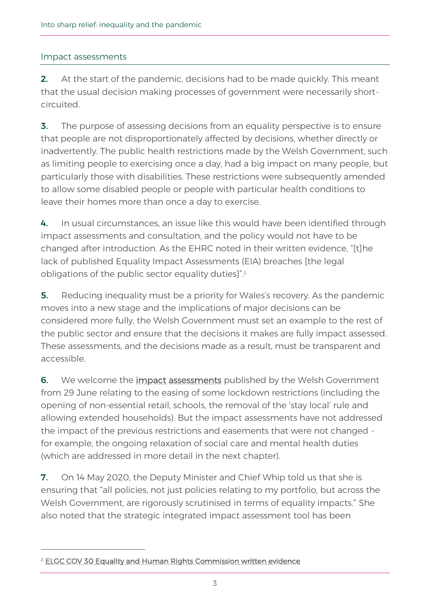## Impact assessments

2. At the start of the pandemic, decisions had to be made quickly. This meant that the usual decision making processes of government were necessarily shortcircuited.

**3.** The purpose of assessing decisions from an equality perspective is to ensure that people are not disproportionately affected by decisions, whether directly or inadvertently. The public health restrictions made by the Welsh Government, such as limiting people to exercising once a day, had a big impact on many people, but particularly those with disabilities. These restrictions were subsequently amended to allow some disabled people or people with particular health conditions to leave their homes more than once a day to exercise.

4. In usual circumstances, an issue like this would have been identified through impact assessments and consultation, and the policy would not have to be changed after introduction. As the EHRC noted in their written evidence, "[t]he lack of published Equality Impact Assessments (EIA) breaches [the legal obligations of the public sector equality duties]". 2

**5.** Reducing inequality must be a priority for Wales's recovery. As the pandemic moves into a new stage and the implications of major decisions can be considered more fully, the Welsh Government must set an example to the rest of the public sector and ensure that the decisions it makes are fully impact assessed. These assessments, and the decisions made as a result, must be transparent and accessible.

6. We welcome the *impact assessments* published by the Welsh Government from 29 June relating to the easing of some lockdown restrictions (including the opening of non-essential retail, schools, the removal of the 'stay local' rule and allowing extended households). But the impact assessments have not addressed the impact of the previous restrictions and easements that were not changed for example, the ongoing relaxation of social care and mental health duties (which are addressed in more detail in the next chapter).

7. On 14 May 2020, the Deputy Minister and Chief Whip told us that she is ensuring that "all policies, not just policies relating to my portfolio, but across the Welsh Government, are rigorously scrutinised in terms of equality impacts." She also noted that the strategic integrated impact assessment tool has been

<sup>&</sup>lt;sup>2</sup> [ELGC COV 30 Equality and Human Rights Commission written evidence](https://business.senedd.wales/documents/s102950/ELGC%20COV%2030%20-%20Equality%20and%20Human%20Rights%20Commission.pdf)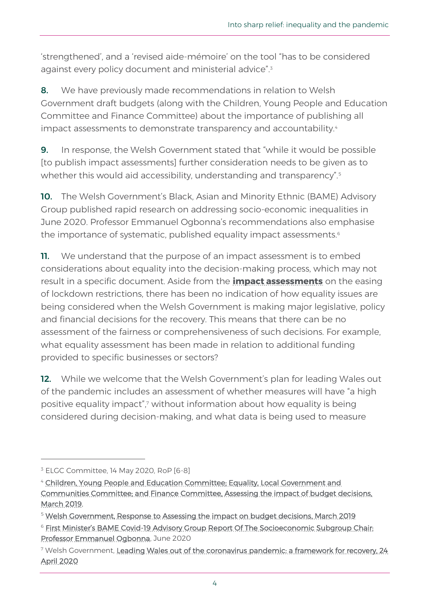'strengthened', and a 'revised aide-mémoire' on the tool "has to be considered against every policy document and ministerial advice".<sup>3</sup>

8. We have previously made recommendations in relation to Welsh Government draft budgets (along with the Children, Young People and Education Committee and Finance Committee) about the importance of publishing all impact assessments to demonstrate transparency and accountability.<sup>4</sup>

**9.** In response, the Welsh Government stated that "while it would be possible [to publish impact assessments] further consideration needs to be given as to whether this would aid accessibility, understanding and transparency".<sup>5</sup>

10. The Welsh Government's Black, Asian and Minority Ethnic (BAME) Advisory Group published rapid research on addressing socio-economic inequalities in June 2020. Professor Emmanuel Ogbonna's recommendations also emphasise the importance of systematic, published equality impact assessments.<sup>6</sup>

**11.** We understand that the purpose of an impact assessment is to embed considerations about equality into the decision-making process, which may not result in a specific document. Aside from the **[impact assessments](https://gov.wales/equality-impact-assessments-coronavirus)** on the easing of lockdown restrictions, there has been no indication of how equality issues are being considered when the Welsh Government is making major legislative, policy and financial decisions for the recovery. This means that there can be no assessment of the fairness or comprehensiveness of such decisions. For example, what equality assessment has been made in relation to additional funding provided to specific businesses or sectors?

12. While we welcome that the Welsh Government's plan for leading Wales out of the pandemic includes an assessment of whether measures will have "a high positive equality impact", 7 without information about how equality is being considered during decision-making, and what data is being used to measure

<sup>&</sup>lt;sup>3</sup> ELGC Committee, 14 May 2020, RoP [6-8]

<sup>&</sup>lt;sup>4</sup> Children, Young People and Education Committee: Equality, Local Government and [Communities Committee; and Finance Committee, Assessing the impact of budget decisions,](https://senedd.wales/laid%20documents/cr-ld12453/cr-ld12453-e.pdf)  [March 2019,](https://senedd.wales/laid%20documents/cr-ld12453/cr-ld12453-e.pdf) 

<sup>5</sup> [Welsh Government, Response to Assessing the impact on budget decisions,](https://senedd.wales/laid%20documents/gen-ld12522/gen-ld12522-e.pdf) March 2019

<sup>&</sup>lt;sup>6</sup> First Minister's BAME Covid-19 Advisory Group Report Of The Socioeconomic Subgroup Chair: [Professor Emmanuel Ogbonna,](https://gov.wales/sites/default/files/publications/2020-06/first-ministers-bame-covid-19-advisory-group-report-of-the-socioeconomic-subgroup.pdf) June 2020

<sup>&</sup>lt;sup>7</sup> Welsh Government, Leading Wales out of the coronavirus pandemic: a framework for recovery, 24 [April 2020](https://gov.wales/leading-wales-out-coronavirus-pandemic-html)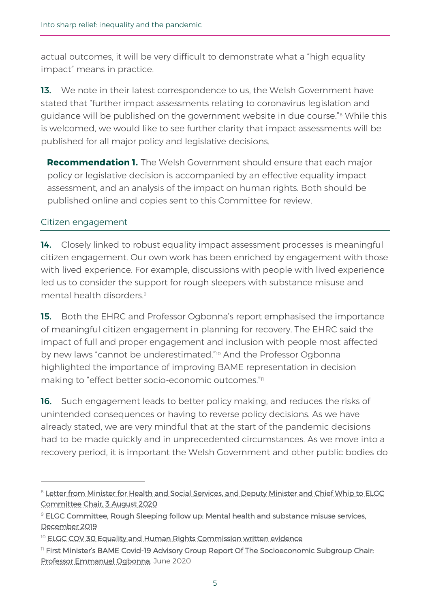actual outcomes, it will be very difficult to demonstrate what a "high equality impact" means in practice.

13. We note in their latest correspondence to us, the Welsh Government have stated that "further impact assessments relating to coronavirus legislation and guidance will be published on the government website in due course."<sup>8</sup> While this is welcomed, we would like to see further clarity that impact assessments will be published for all major policy and legislative decisions.

**Recommendation 1.** The Welsh Government should ensure that each major policy or legislative decision is accompanied by an effective equality impact assessment, and an analysis of the impact on human rights. Both should be published online and copies sent to this Committee for review.

## Citizen engagement

**14.** Closely linked to robust equality impact assessment processes is meaningful citizen engagement. Our own work has been enriched by engagement with those with lived experience. For example, discussions with people with lived experience led us to consider the support for rough sleepers with substance misuse and mental health disorders.<sup>9</sup>

15. Both the EHRC and Professor Ogbonna's report emphasised the importance of meaningful citizen engagement in planning for recovery. The EHRC said the impact of full and proper engagement and inclusion with people most affected by new laws "cannot be underestimated."<sup>10</sup> And the Professor Ogbonna highlighted the importance of improving BAME representation in decision making to "effect better socio-economic outcomes."11

16. Such engagement leads to better policy making, and reduces the risks of unintended consequences or having to reverse policy decisions. As we have already stated, we are very mindful that at the start of the pandemic decisions had to be made quickly and in unprecedented circumstances. As we move into a recovery period, it is important the Welsh Government and other public bodies do

<sup>&</sup>lt;sup>8</sup> Letter from Minister for Health and Social Services, and Deputy Minister and Chief Whip to ELGC [Committee Chair, 3 August 2020](https://business.senedd.wales/documents/s103807/Correspondence%20from%20the%20Deputy%20Minister%20and%20Chief%20Whip%20regarding%20the%20impact%20of%20Covid-19%20on%20equalitie.pdf)

<sup>9</sup> [ELGC Committee, Rough Sleeping follow up: Mental health and substance misuse services,](https://senedd.wales/laid%20documents/cr-ld12937/cr-ld12937%20-e.pdf)  [December 2019](https://senedd.wales/laid%20documents/cr-ld12937/cr-ld12937%20-e.pdf)

<sup>&</sup>lt;sup>10</sup> [ELGC COV 30 Equality and Human Rights Commission written evidence](https://business.senedd.wales/documents/s102950/ELGC%20COV%2030%20-%20Equality%20and%20Human%20Rights%20Commission.pdf)

<sup>11</sup> First Minister's BAME Covid[-19 Advisory Group Report Of The Socioeconomic Subgroup Chair:](https://gov.wales/sites/default/files/publications/2020-06/first-ministers-bame-covid-19-advisory-group-report-of-the-socioeconomic-subgroup.pdf)  [Professor Emmanuel Ogbonna,](https://gov.wales/sites/default/files/publications/2020-06/first-ministers-bame-covid-19-advisory-group-report-of-the-socioeconomic-subgroup.pdf) June 2020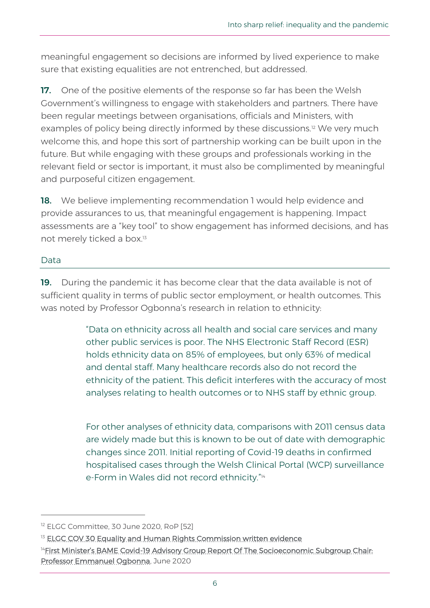meaningful engagement so decisions are informed by lived experience to make sure that existing equalities are not entrenched, but addressed.

17. One of the positive elements of the response so far has been the Welsh Government's willingness to engage with stakeholders and partners. There have been regular meetings between organisations, officials and Ministers, with examples of policy being directly informed by these discussions.<sup>12</sup> We very much welcome this, and hope this sort of partnership working can be built upon in the future. But while engaging with these groups and professionals working in the relevant field or sector is important, it must also be complimented by meaningful and purposeful citizen engagement.

**18.** We believe implementing recommendation 1 would help evidence and provide assurances to us, that meaningful engagement is happening. Impact assessments are a "key tool" to show engagement has informed decisions, and has not merely ticked a box. 13

## Data

19. During the pandemic it has become clear that the data available is not of sufficient quality in terms of public sector employment, or health outcomes. This was noted by Professor Ogbonna's research in relation to ethnicity:

> "Data on ethnicity across all health and social care services and many other public services is poor. The NHS Electronic Staff Record (ESR) holds ethnicity data on 85% of employees, but only 63% of medical and dental staff. Many healthcare records also do not record the ethnicity of the patient. This deficit interferes with the accuracy of most analyses relating to health outcomes or to NHS staff by ethnic group.

> For other analyses of ethnicity data, comparisons with 2011 census data are widely made but this is known to be out of date with demographic changes since 2011. Initial reporting of Covid-19 deaths in confirmed hospitalised cases through the Welsh Clinical Portal (WCP) surveillance e-Form in Wales did not record ethnicity." 14

<sup>&</sup>lt;sup>12</sup> ELGC Committee, 30 June 2020, RoP [52]

<sup>&</sup>lt;sup>13</sup> [ELGC COV 30 Equality and Human Rights Commission written evidence](https://business.senedd.wales/documents/s102950/ELGC%20COV%2030%20-%20Equality%20and%20Human%20Rights%20Commission.pdf)

<sup>&</sup>lt;sup>14</sup>First Minister's BAME Covid-19 Advisory Group Report Of The Socioeconomic Subgroup Chair: [Professor Emmanuel Ogbonna,](https://gov.wales/sites/default/files/publications/2020-06/first-ministers-bame-covid-19-advisory-group-report-of-the-socioeconomic-subgroup.pdf) June 2020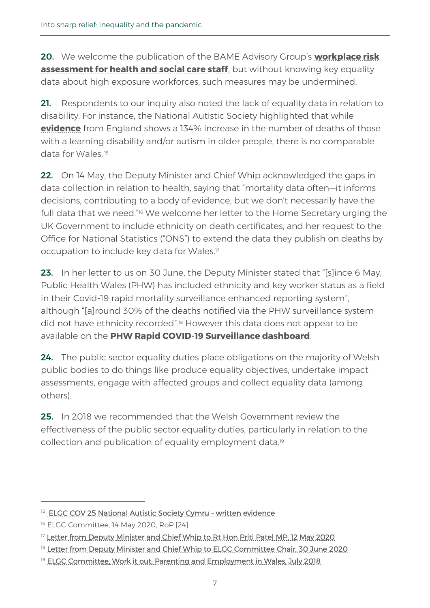20. We welcome the publication of the BAME Advisory Group's **[workplace risk](https://gov.wales/covid-19-workforce-risk-assessment-tool)  [assessment for health and social care staff](https://gov.wales/covid-19-workforce-risk-assessment-tool)**, but without knowing key equality data about high exposure workforces, such measures may be undermined.

21. Respondents to our inquiry also noted the lack of equality data in relation to disability. For instance, the National Autistic Society highlighted that while **[evidence](https://www.cqc.org.uk/news/stories/cqc-publishes-data-deaths-people-learning-disability)** from England shows a 134% increase in the number of deaths of those with a learning disability and/or autism in older people, there is no comparable data for Wales. <sup>15</sup>

22. On 14 May, the Deputy Minister and Chief Whip acknowledged the gaps in data collection in relation to health, saying that "mortality data often—it informs decisions, contributing to a body of evidence, but we don't necessarily have the full data that we need."<sup>16</sup> We welcome her letter to the Home Secretary urging the UK Government to include ethnicity on death certificates, and her request to the Office for National Statistics ("ONS") to extend the data they publish on deaths by occupation to include key data for Wales.<sup>17</sup>

23. In her letter to us on 30 June, the Deputy Minister stated that "Islince 6 May, Public Health Wales (PHW) has included ethnicity and key worker status as a field in their Covid-19 rapid mortality surveillance enhanced reporting system", although "[a]round 30% of the deaths notified via the PHW surveillance system did not have ethnicity recorded". <sup>18</sup> However this data does not appear to be available on the **[PHW Rapid COVID-19 Surveillance dashboard](https://public.tableau.com/profile/public.health.wales.health.protection#!/vizhome/RapidCOVID-19virology-Public/Headlinesummary)**.

24. The public sector equality duties place obligations on the majority of Welsh public bodies to do things like produce equality objectives, undertake impact assessments, engage with affected groups and collect equality data (among others).

25. In 2018 we recommended that the Welsh Government review the effectiveness of the public sector equality duties, particularly in relation to the collection and publication of equality employment data.<sup>19</sup>

<sup>&</sup>lt;sup>15</sup> [ELGC COV 25 National Autistic Society Cymru - written evidence](https://business.senedd.wales/documents/s102382/ELGC%20COV%2025%20-%20National%20Autistic%20Society%20Cymru.pdf)

<sup>16</sup> ELGC Committee, 14 May 2020, RoP [24]

<sup>&</sup>lt;sup>17</sup> [Letter from Deputy Minister and Chief Whip to Rt Hon Priti Patel MP, 12 May 2020](https://business.senedd.wales/documents/s102082/Paper%203.pdf)

<sup>&</sup>lt;sup>18</sup> [Letter from Deputy Minister and Chief Whip to ELGC Committee Chair, 30 June 2020](https://business.senedd.wales/documents/s103345/Paper%205.pdf)

<sup>&</sup>lt;sup>19</sup> [ELGC Committee, Work it out: Parenting and Employment in Wales, July 2018](https://senedd.wales/laid%20documents/cr-ld11669/cr-ld11669-e.pdf)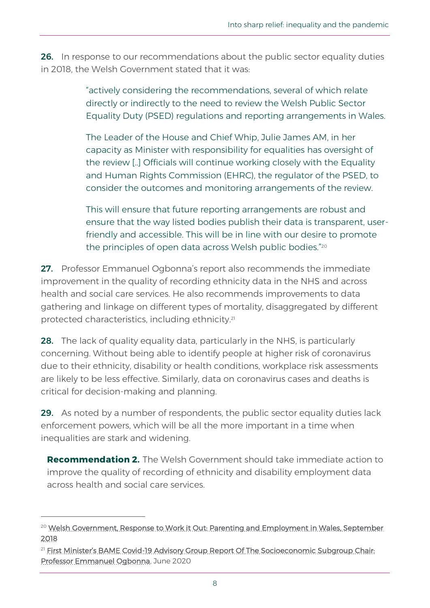**26.** In response to our recommendations about the public sector equality duties in 2018, the Welsh Government stated that it was:

> "actively considering the recommendations, several of which relate directly or indirectly to the need to review the Welsh Public Sector Equality Duty (PSED) regulations and reporting arrangements in Wales.

The Leader of the House and Chief Whip, Julie James AM, in her capacity as Minister with responsibility for equalities has oversight of the review [..] Officials will continue working closely with the Equality and Human Rights Commission (EHRC), the regulator of the PSED, to consider the outcomes and monitoring arrangements of the review.

This will ensure that future reporting arrangements are robust and ensure that the way listed bodies publish their data is transparent, userfriendly and accessible. This will be in line with our desire to promote the principles of open data across Welsh public bodies."<sup>20</sup>

27. Professor Emmanuel Ogbonna's report also recommends the immediate improvement in the quality of recording ethnicity data in the NHS and across health and social care services. He also recommends improvements to data gathering and linkage on different types of mortality, disaggregated by different protected characteristics, including ethnicity.<sup>21</sup>

**28.** The lack of quality equality data, particularly in the NHS, is particularly concerning. Without being able to identify people at higher risk of coronavirus due to their ethnicity, disability or health conditions, workplace risk assessments are likely to be less effective. Similarly, data on coronavirus cases and deaths is critical for decision-making and planning.

**29.** As noted by a number of respondents, the public sector equality duties lack enforcement powers, which will be all the more important in a time when inequalities are stark and widening.

**Recommendation 2.** The Welsh Government should take immediate action to improve the quality of recording of ethnicity and disability employment data across health and social care services.

<sup>&</sup>lt;sup>20</sup> Welsh Government, Response to Work it Out: Parenting and Employment in Wales, September [2018](http://www.assembly.wales/laid%20documents/gen-ld11734/gen-ld11734-e.pdf)

<sup>&</sup>lt;sup>21</sup> First Minister's BAME Covid-19 Advisory Group Report Of The Socioeconomic Subgroup Chair: [Professor Emmanuel Ogbonna,](https://gov.wales/sites/default/files/publications/2020-06/first-ministers-bame-covid-19-advisory-group-report-of-the-socioeconomic-subgroup.pdf) June 2020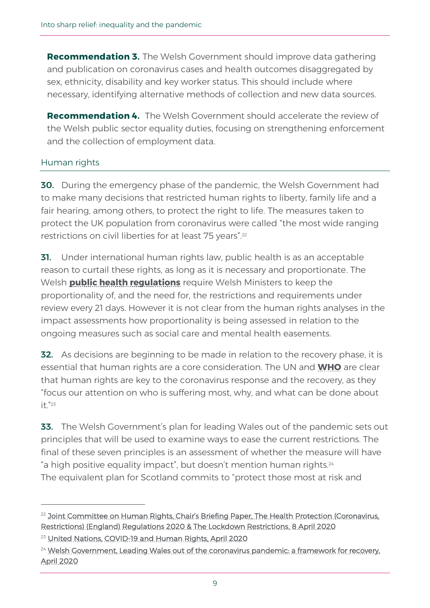**Recommendation 3.** The Welsh Government should improve data gathering and publication on coronavirus cases and health outcomes disaggregated by sex, ethnicity, disability and key worker status. This should include where necessary, identifying alternative methods of collection and new data sources.

**Recommendation 4.** The Welsh Government should accelerate the review of the Welsh public sector equality duties, focusing on strengthening enforcement and the collection of employment data.

## Human rights

**30.** During the emergency phase of the pandemic, the Welsh Government had to make many decisions that restricted human rights to liberty, family life and a fair hearing, among others, to protect the right to life. The measures taken to protect the UK population from coronavirus were called "the most wide ranging restrictions on civil liberties for at least 75 years".<sup>22</sup>

**31.** Under international human rights law, public health is as an acceptable reason to curtail these rights, as long as it is necessary and proportionate. The Welsh **[public health regulations](https://gov.wales/sites/default/files/publications/2020-07/the-health-protection-coronavirus-restrictions-no-2-wales-regulations-2020.pdf)** require Welsh Ministers to keep the proportionality of, and the need for, the restrictions and requirements under review every 21 days. However it is not clear from the human rights analyses in the impact assessments how proportionality is being assessed in relation to the ongoing measures such as social care and mental health easements.

**32.** As decisions are beginning to be made in relation to the recovery phase, it is essential that human rights are a core consideration. The UN and **[WHO](https://www.who.int/publications-detail/addressing-human-rights-as-key-to-the-covid-19-response)** are clear that human rights are key to the coronavirus response and the recovery, as they "focus our attention on who is suffering most, why, and what can be done about  $it.$ "23

**33.** The Welsh Government's plan for leading Wales out of the pandemic sets out principles that will be used to examine ways to ease the current restrictions. The final of these seven principles is an assessment of whether the measure will have "a high positive equality impact", but doesn't mention human rights.<sup>24</sup> The equivalent plan for Scotland commits to "protect those most at risk and

<sup>&</sup>lt;sup>22</sup> Joint Committee on Human Rights, Chair's Briefing Paper, The Health Protection (Coronavirus, [Restrictions\) \(England\) Regulations 2020 & The Lockdown Restrictions, 8 April 2020](https://publications.parliament.uk/pa/jt5801/jtselect/jtrights/correspondence/Chairs-briefing-paper-regarding-Health-Protection-Coronavirus-Restrictions-England-Regulation-2020.pdf)

<sup>&</sup>lt;sup>23</sup> [United Nations, COVID-19 and Human Rights, April 2020](https://www.un.org/sites/un2.un.org/files/un_policy_brief_on_human_rights_and_covid_23_april_2020.pdf)

<sup>&</sup>lt;sup>24</sup> Welsh Government, Leading Wales out of the coronavirus pandemic: a framework for recovery, [April 2020](https://gov.wales/leading-wales-out-coronavirus-pandemic-html)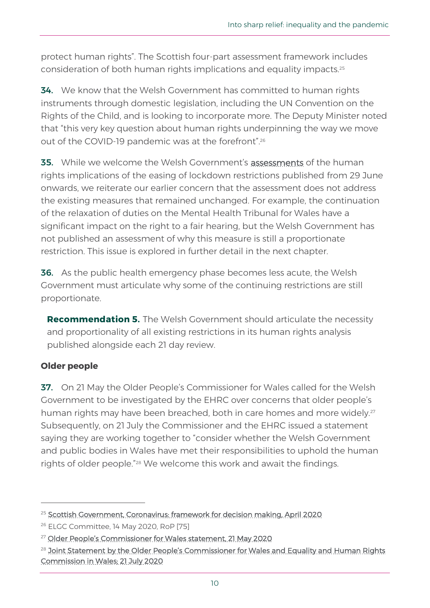protect human rights". The Scottish four-part assessment framework includes consideration of both human rights implications and equality impacts.<sup>25</sup>

**34.** We know that the Welsh Government has committed to human rights instruments through domestic legislation, including the UN Convention on the Rights of the Child, and is looking to incorporate more. The Deputy Minister noted that "this very key question about human rights underpinning the way we move out of the COVID-19 pandemic was at the forefront".<sup>26</sup>

**35.** While we welcome the Welsh Government's [assessments](https://gov.wales/equality-impact-assessments-coronavirus) of the human rights implications of the easing of lockdown restrictions published from 29 June onwards, we reiterate our earlier concern that the assessment does not address the existing measures that remained unchanged. For example, the continuation of the relaxation of duties on the Mental Health Tribunal for Wales have a significant impact on the right to a fair hearing, but the Welsh Government has not published an assessment of why this measure is still a proportionate restriction. This issue is explored in further detail in the next chapter.

36. As the public health emergency phase becomes less acute, the Welsh Government must articulate why some of the continuing restrictions are still proportionate.

**Recommendation 5.** The Welsh Government should articulate the necessity and proportionality of all existing restrictions in its human rights analysis published alongside each 21 day review.

## **Older people**

37. On 21 May the Older People's Commissioner for Wales called for the Welsh Government to be investigated by the EHRC over concerns that older people's human rights may have been breached, both in care homes and more widely.<sup>27</sup> Subsequently, on 21 July the Commissioner and the EHRC issued a statement saying they are working together to "consider whether the Welsh Government and public bodies in Wales have met their responsibilities to uphold the human rights of older people."<sup>28</sup> We welcome this work and await the findings.

<sup>25</sup> [Scottish Government, Coronavirus: framework for decision making, April 2020](https://www.gov.scot/publications/coronavirus-covid-19-framework-decision-making/pages/6/)

<sup>26</sup> ELGC Committee, 14 May 2020, RoP [75]

<sup>&</sup>lt;sup>27</sup> [Older People's Commissioner for Wa](https://www.olderpeoplewales.com/en/news/news/20-05-21/Commissioner_calls_for_investigation_on_older_people_s_rights.aspx)les statement, 21 May 2020

<sup>&</sup>lt;sup>28</sup> Joint Statement by the Older People's Commissioner for Wales and Equality and Human Rights [Commission in Wales; 21 July 2020](https://www.olderpeoplewales.com/en/news/news/20-07-21/Joint_Statement_by_the_Older_People_s_Commissioner_for_Wales_and_Equality_and_Human_Rights_Commission_in_Wales.aspx)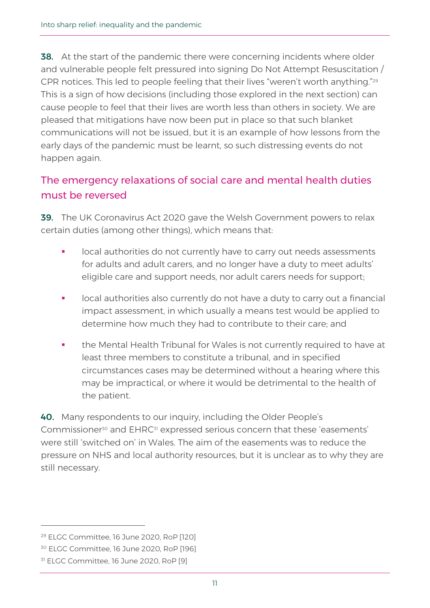**38.** At the start of the pandemic there were concerning incidents where older and vulnerable people felt pressured into signing Do Not Attempt Resuscitation / CPR notices. This led to people feeling that their lives "weren't worth anything."<sup>29</sup> This is a sign of how decisions (including those explored in the next section) can cause people to feel that their lives are worth less than others in society. We are pleased that mitigations have now been put in place so that such blanket communications will not be issued, but it is an example of how lessons from the early days of the pandemic must be learnt, so such distressing events do not happen again.

# The emergency relaxations of social care and mental health duties must be reversed

**39.** The UK Coronavirus Act 2020 gave the Welsh Government powers to relax certain duties (among other things), which means that:

- local authorities do not currently have to carry out needs assessments for adults and adult carers, and no longer have a duty to meet adults' eligible care and support needs, nor adult carers needs for support;
- local authorities also currently do not have a duty to carry out a financial impact assessment, in which usually a means test would be applied to determine how much they had to contribute to their care; and
- the Mental Health Tribunal for Wales is not currently required to have at least three members to constitute a tribunal, and in specified circumstances cases may be determined without a hearing where this may be impractical, or where it would be detrimental to the health of the patient.

40. Many respondents to our inquiry, including the Older People's Commissioner<sup>30</sup> and EHRC<sup>31</sup> expressed serious concern that these 'easements' were still 'switched on' in Wales. The aim of the easements was to reduce the pressure on NHS and local authority resources, but it is unclear as to why they are still necessary.

<sup>29</sup> ELGC Committee, 16 June 2020, RoP [120]

<sup>30</sup> ELGC Committee, 16 June 2020, RoP [196]

<sup>&</sup>lt;sup>31</sup> ELGC Committee, 16 June 2020, RoP [9]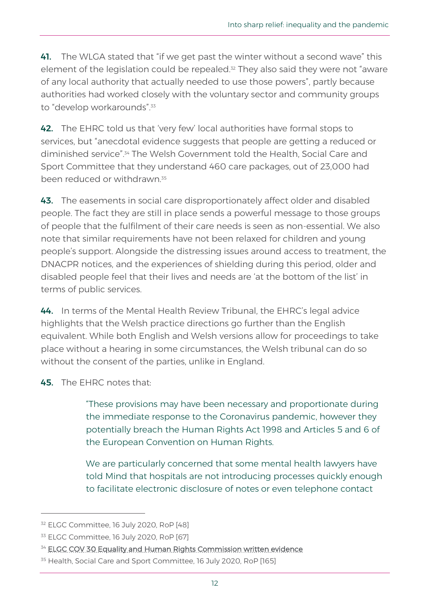41. The WLGA stated that "if we get past the winter without a second wave" this element of the legislation could be repealed.<sup>32</sup> They also said they were not "aware of any local authority that actually needed to use those powers", partly because authorities had worked closely with the voluntary sector and community groups to "develop workarounds".<sup>33</sup>

42. The EHRC told us that 'very few' local authorities have formal stops to services, but "anecdotal evidence suggests that people are getting a reduced or diminished service".<sup>34</sup> The Welsh Government told the Health, Social Care and Sport Committee that they understand 460 care packages, out of 23,000 had been reduced or withdrawn<sup>35</sup>

43. The easements in social care disproportionately affect older and disabled people. The fact they are still in place sends a powerful message to those groups of people that the fulfilment of their care needs is seen as non-essential. We also note that similar requirements have not been relaxed for children and young people's support. Alongside the distressing issues around access to treatment, the DNACPR notices, and the experiences of shielding during this period, older and disabled people feel that their lives and needs are 'at the bottom of the list' in terms of public services.

44. In terms of the Mental Health Review Tribunal, the EHRC's legal advice highlights that the Welsh practice directions go further than the English equivalent. While both English and Welsh versions allow for proceedings to take place without a hearing in some circumstances, the Welsh tribunal can do so without the consent of the parties, unlike in England.

45. The EHRC notes that:

"These provisions may have been necessary and proportionate during the immediate response to the Coronavirus pandemic, however they potentially breach the Human Rights Act 1998 and Articles 5 and 6 of the European Convention on Human Rights.

We are particularly concerned that some mental health lawyers have told Mind that hospitals are not introducing processes quickly enough to facilitate electronic disclosure of notes or even telephone contact

<sup>32</sup> ELGC Committee, 16 July 2020, RoP [48]

<sup>33</sup> ELGC Committee, 16 July 2020, RoP [67]

<sup>&</sup>lt;sup>34</sup> [ELGC COV 30 Equality and Human Rights Commission written evidence](https://business.senedd.wales/documents/s102950/ELGC%20COV%2030%20-%20Equality%20and%20Human%20Rights%20Commission.pdf)

<sup>35</sup> Health, Social Care and Sport Committee, 16 July 2020, RoP [165]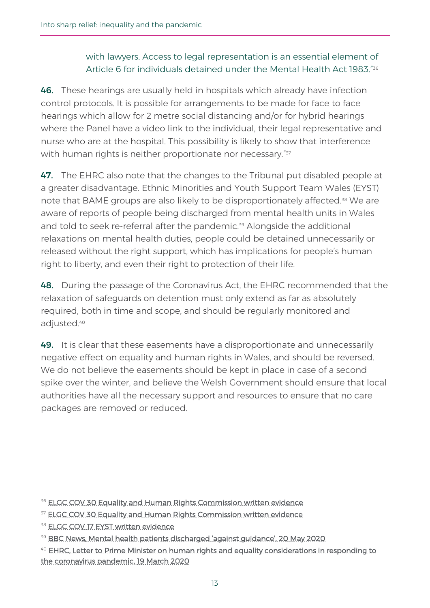## with lawyers. Access to legal representation is an essential element of Article 6 for individuals detained under the Mental Health Act 1983."36

46. These hearings are usually held in hospitals which already have infection control protocols. It is possible for arrangements to be made for face to face hearings which allow for 2 metre social distancing and/or for hybrid hearings where the Panel have a video link to the individual, their legal representative and nurse who are at the hospital. This possibility is likely to show that interference with human rights is neither proportionate nor necessary." $^{\mathrm{37}}$ 

47. The EHRC also note that the changes to the Tribunal put disabled people at a greater disadvantage. Ethnic Minorities and Youth Support Team Wales (EYST) note that BAME groups are also likely to be disproportionately affected.<sup>38</sup> We are aware of reports of people being discharged from mental health units in Wales and told to seek re-referral after the pandemic.<sup>39</sup> Alongside the additional relaxations on mental health duties, people could be detained unnecessarily or released without the right support, which has implications for people's human right to liberty, and even their right to protection of their life.

48. During the passage of the Coronavirus Act, the EHRC recommended that the relaxation of safeguards on detention must only extend as far as absolutely required, both in time and scope, and should be regularly monitored and adjusted.<sup>40</sup>

49. It is clear that these easements have a disproportionate and unnecessarily negative effect on equality and human rights in Wales, and should be reversed. We do not believe the easements should be kept in place in case of a second spike over the winter, and believe the Welsh Government should ensure that local authorities have all the necessary support and resources to ensure that no care packages are removed or reduced.

<sup>&</sup>lt;sup>36</sup> [ELGC COV 30 Equality and Human Rights Commission written evidence](https://business.senedd.wales/documents/s102950/ELGC%20COV%2030%20-%20Equality%20and%20Human%20Rights%20Commission.pdf)

<sup>&</sup>lt;sup>37</sup> [ELGC COV 30 Equality and Human Rights Commission written evidence](https://business.senedd.wales/documents/s102950/ELGC%20COV%2030%20-%20Equality%20and%20Human%20Rights%20Commission.pdf)

**<sup>38</sup> [ELGC COV 17 EYST written evidence](http://abms/documents/s101492/ELGC%20COV%2017%20-%20Ethnic%20Minorities%20Youth%20Support%20Team.pdf)** 

<sup>&</sup>lt;sup>39</sup> [BBC News, Mental health patients discharged 'against guidance', 20 May 2020](https://www.bbc.co.uk/news/uk-wales-52729237)

<sup>&</sup>lt;sup>40</sup> EHRC, Letter to Prime Minister on human rights and equality considerations in responding to [the coronavirus pandemic, 19 March 2020](https://www.equalityhumanrights.com/sites/default/files/briefing-letter-to-government-covid-19-coronavirus-19-march-2020.pdf)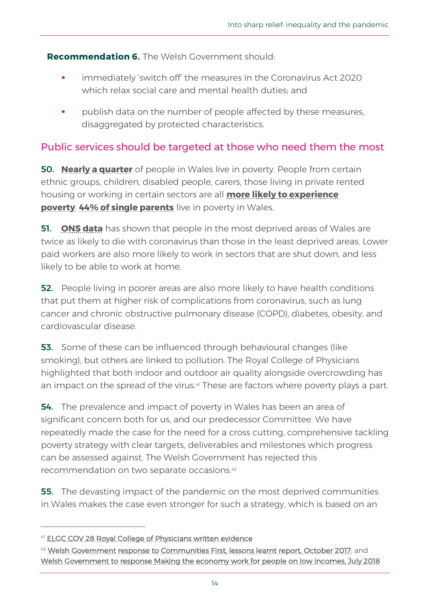**Recommendation 6.** The Welsh Government should:

- **•** immediately 'switch off' the measures in the Coronavirus Act 2020 which relax social care and mental health duties; and
- publish data on the number of people affected by these measures, disaggregated by protected characteristics.

# Public services should be targeted at those who need them the most

50. **[Nearly a quarter](https://statswales.gov.wales/Catalogue/Community-Safety-and-Social-Inclusion/Poverty/peopleinrelativeincomepoverty-by-familytype)** of people in Wales live in poverty. People from certain ethnic groups, children, disabled people, carers, those living in private rented housing or working in certain sectors are all **[more likely to experience](https://www.jrf.org.uk/report/uk-poverty-2019-20)  [poverty](https://www.jrf.org.uk/report/uk-poverty-2019-20). [44% of single parents](https://chwaraeteg.com/wp-content/uploads/2020/05/Trapped-Poverty-amongst-women-in-Wales-today.pdf)** live in poverty in Wales.

51. **[ONS data](https://www.ons.gov.uk/peoplepopulationandcommunity/birthsdeathsandmarriages/deaths/bulletins/deathsinvolvingcovid19bylocalareasanddeprivation/deathsoccurringbetween1marchand31may2020#welsh-index-of-multiple-deprivation)** has shown that people in the most deprived areas of Wales are twice as likely to die with coronavirus than those in the least deprived areas. Lower paid workers are also more likely to work in sectors that are shut down, and less likely to be able to work at home.

**52.** People living in poorer areas are also more likely to have health conditions that put them at higher risk of complications from coronavirus, such as lung cancer and chronic obstructive pulmonary disease (COPD), diabetes, obesity, and cardiovascular disease.

53. Some of these can be influenced through behavioural changes (like smoking), but others are linked to pollution. The Royal College of Physicians highlighted that both indoor and outdoor air quality alongside overcrowding has an impact on the spread of the virus.<sup>41</sup> These are factors where poverty plays a part.

**54.** The prevalence and impact of poverty in Wales has been an area of significant concern both for us, and our predecessor Committee. We have repeatedly made the case for the need for a cross cutting, comprehensive tackling poverty strategy with clear targets, deliverables and milestones which progress can be assessed against. The Welsh Government has rejected this recommendation on two separate occasions.<sup>42</sup>

**55.** The devasting impact of the pandemic on the most deprived communities in Wales makes the case even stronger for such a strategy, which is based on an

<sup>41</sup> [ELGC COV 28 Royal College of Physicians written evidence](https://business.senedd.wales/documents/s102385/ELGC%20COV%2028%20-%20Royal%20College%20of%20Physicians.pdf)

<sup>&</sup>lt;sup>42</sup> [Welsh Government response to Communities First, lessons learnt report, October 2017;](https://senedd.wales/laid%20documents/gen-ld11240/gen-ld11240-e.pdf) and [Welsh Government to response Making the economy work for people on low incomes, July 2018](http://www.assembly.wales/laid%20documents/gen-ld11655/gen-ld11655-e.pdf)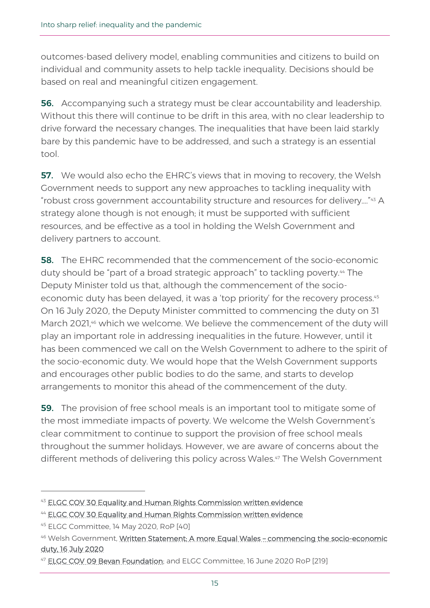outcomes-based delivery model, enabling communities and citizens to build on individual and community assets to help tackle inequality. Decisions should be based on real and meaningful citizen engagement.

**56.** Accompanying such a strategy must be clear accountability and leadership. Without this there will continue to be drift in this area, with no clear leadership to drive forward the necessary changes. The inequalities that have been laid starkly bare by this pandemic have to be addressed, and such a strategy is an essential tool.

57. We would also echo the EHRC's views that in moving to recovery, the Welsh Government needs to support any new approaches to tackling inequality with "robust cross government accountability structure and resources for delivery…."<sup>43</sup> A strategy alone though is not enough; it must be supported with sufficient resources, and be effective as a tool in holding the Welsh Government and delivery partners to account.

58. The EHRC recommended that the commencement of the socio-economic duty should be "part of a broad strategic approach" to tackling poverty.<sup>44</sup> The Deputy Minister told us that, although the commencement of the socioeconomic duty has been delayed, it was a 'top priority' for the recovery process.<sup>45</sup> On 16 July 2020, the Deputy Minister committed to commencing the duty on 31 March 2021, <sup>46</sup> which we welcome. We believe the commencement of the duty will play an important role in addressing inequalities in the future. However, until it has been commenced we call on the Welsh Government to adhere to the spirit of the socio-economic duty. We would hope that the Welsh Government supports and encourages other public bodies to do the same, and starts to develop arrangements to monitor this ahead of the commencement of the duty.

**59.** The provision of free school meals is an important tool to mitigate some of the most immediate impacts of poverty. We welcome the Welsh Government's clear commitment to continue to support the provision of free school meals throughout the summer holidays. However, we are aware of concerns about the different methods of delivering this policy across Wales.<sup>47</sup> The Welsh Government

<sup>43</sup> [ELGC COV 30 Equality and Human Rights Commission written evidence](https://business.senedd.wales/documents/s102950/ELGC%20COV%2030%20-%20Equality%20and%20Human%20Rights%20Commission.pdf)

<sup>&</sup>lt;sup>44</sup> [ELGC COV 30 Equality and Human Rights Commission written evidence](https://business.senedd.wales/documents/s102950/ELGC%20COV%2030%20-%20Equality%20and%20Human%20Rights%20Commission.pdf)

<sup>45</sup> ELGC Committee, 14 May 2020, RoP [40]

<sup>46</sup> Welsh Government, [Written Statement: A more Equal Wales](https://gov.wales/written-statement-more-equal-wales-commencing-socio-economic-duty-1) - commencing the socio-economic [duty, 16 July 2020](https://gov.wales/written-statement-more-equal-wales-commencing-socio-economic-duty-1)

<sup>&</sup>lt;sup>47</sup> [ELGC COV 09 Bevan Foundation;](https://business.senedd.wales/documents/s101299/ELGC%20COV%2009%20-%20Bevan%20Foundation.pdf) and ELGC Committee, 16 June 2020 RoP [219]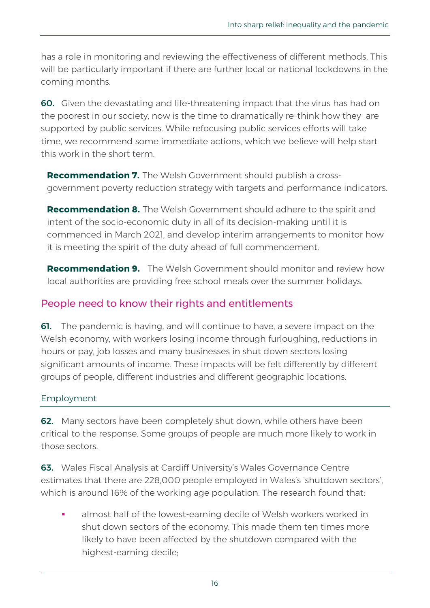has a role in monitoring and reviewing the effectiveness of different methods. This will be particularly important if there are further local or national lockdowns in the coming months.

60. Given the devastating and life-threatening impact that the virus has had on the poorest in our society, now is the time to dramatically re-think how they are supported by public services. While refocusing public services efforts will take time, we recommend some immediate actions, which we believe will help start this work in the short term.

**Recommendation 7.** The Welsh Government should publish a crossgovernment poverty reduction strategy with targets and performance indicators.

**Recommendation 8.** The Welsh Government should adhere to the spirit and intent of the socio-economic duty in all of its decision-making until it is commenced in March 2021, and develop interim arrangements to monitor how it is meeting the spirit of the duty ahead of full commencement.

**Recommendation 9.** The Welsh Government should monitor and review how local authorities are providing free school meals over the summer holidays.

# People need to know their rights and entitlements

**61.** The pandemic is having, and will continue to have, a severe impact on the Welsh economy, with workers losing income through furloughing, reductions in hours or pay, job losses and many businesses in shut down sectors losing significant amounts of income. These impacts will be felt differently by different groups of people, different industries and different geographic locations.

## Employment

62. Many sectors have been completely shut down, while others have been critical to the response. Some groups of people are much more likely to work in those sectors.

63. Wales Fiscal Analysis at Cardiff University's Wales Governance Centre estimates that there are 228,000 people employed in Wales's 'shutdown sectors', which is around 16% of the working age population. The research found that:

almost half of the lowest-earning decile of Welsh workers worked in shut down sectors of the economy. This made them ten times more likely to have been affected by the shutdown compared with the highest-earning decile;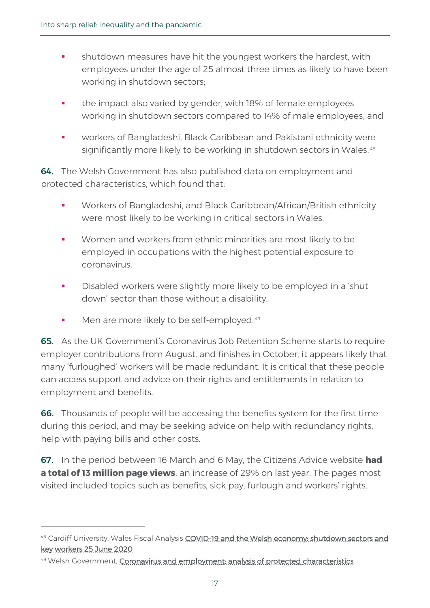- **•** shutdown measures have hit the youngest workers the hardest, with employees under the age of 25 almost three times as likely to have been working in shutdown sectors;
- the impact also varied by gender, with 18% of female employees working in shutdown sectors compared to 14% of male employees, and
- workers of Bangladeshi, Black Caribbean and Pakistani ethnicity were significantly more likely to be working in shutdown sectors in Wales. 48

64. The Welsh Government has also published data on employment and protected characteristics, which found that:

- Workers of Bangladeshi, and Black Caribbean/African/British ethnicity were most likely to be working in critical sectors in Wales.
- Women and workers from ethnic minorities are most likely to be employed in occupations with the highest potential exposure to coronavirus.
- Disabled workers were slightly more likely to be employed in a 'shut down' sector than those without a disability.
- Men are more likely to be self-employed.<sup>49</sup>

65. As the UK Government's Coronavirus Job Retention Scheme starts to require employer contributions from August, and finishes in October, it appears likely that many 'furloughed' workers will be made redundant. It is critical that these people can access support and advice on their rights and entitlements in relation to employment and benefits.

66. Thousands of people will be accessing the benefits system for the first time during this period, and may be seeking advice on help with redundancy rights, help with paying bills and other costs.

67. In the period between 16 March and 6 May, the Citizens Advice website **[had](https://www.bbc.co.uk/news/uk-england-52648365)  [a total of 13 million page views](https://www.bbc.co.uk/news/uk-england-52648365)**, an increase of 29% on last year. The pages most visited included topics such as benefits, sick pay, furlough and workers' rights.

<sup>48</sup> Cardiff University, Wales Fiscal Analysis COVID-19 and the Welsh economy: shutdown sectors and [key workers](https://www.cardiff.ac.uk/__data/assets/pdf_file/0009/2409921/Covid_economy_report_1_Final_rep.pdf) 25 June 2020

<sup>49</sup> Welsh Government, [Coronavirus and employment: analysis of protected characteristics](https://gov.wales/coronavirus-and-employment-analysis-protected-characteristics)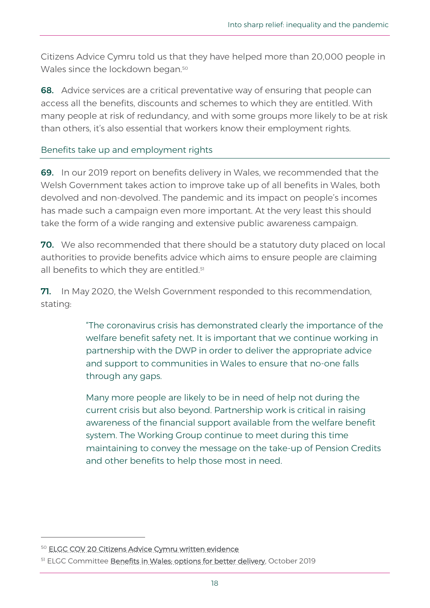Citizens Advice Cymru told us that they have helped more than 20,000 people in Wales since the lockdown began.<sup>50</sup>

**68.** Advice services are a critical preventative way of ensuring that people can access all the benefits, discounts and schemes to which they are entitled. With many people at risk of redundancy, and with some groups more likely to be at risk than others, it's also essential that workers know their employment rights.

#### Benefits take up and employment rights

69. In our 2019 report on benefits delivery in Wales, we recommended that the Welsh Government takes action to improve take up of all benefits in Wales, both devolved and non-devolved. The pandemic and its impact on people's incomes has made such a campaign even more important. At the very least this should take the form of a wide ranging and extensive public awareness campaign.

**70.** We also recommended that there should be a statutory duty placed on local authorities to provide benefits advice which aims to ensure people are claiming all benefits to which they are entitled.<sup>51</sup>

**71.** In May 2020, the Welsh Government responded to this recommendation, stating:

> "The coronavirus crisis has demonstrated clearly the importance of the welfare benefit safety net. It is important that we continue working in partnership with the DWP in order to deliver the appropriate advice and support to communities in Wales to ensure that no-one falls through any gaps.

> Many more people are likely to be in need of help not during the current crisis but also beyond. Partnership work is critical in raising awareness of the financial support available from the welfare benefit system. The Working Group continue to meet during this time maintaining to convey the message on the take-up of Pension Credits and other benefits to help those most in need.

<sup>50</sup> [ELGC COV 20 Citizens Advice Cymru written evidence](https://business.senedd.wales/documents/s101729/ELGC%20COV%2020%20-%20Citizens%20Advice%20Cymru.pdf)

<sup>51</sup> ELGC Committee **Benefits in Wales: options for better delivery**, October 2019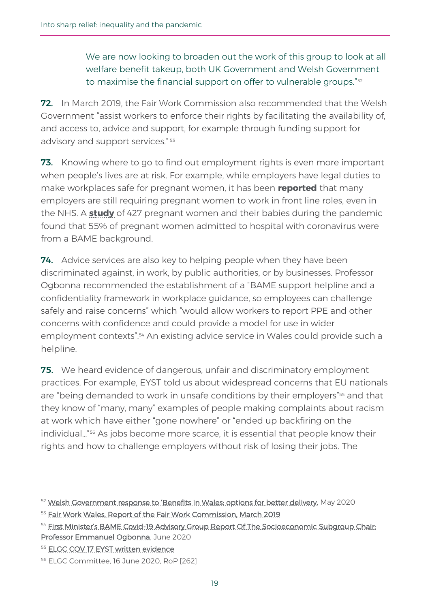We are now looking to broaden out the work of this group to look at all welfare benefit takeup, both UK Government and Welsh Government to maximise the financial support on offer to vulnerable groups."<sup>52</sup>

72. In March 2019, the Fair Work Commission also recommended that the Welsh Government "assist workers to enforce their rights by facilitating the availability of, and access to, advice and support, for example through funding support for advisory and support services." 53

**73.** Knowing where to go to find out employment rights is even more important when people's lives are at risk. For example, while employers have legal duties to make workplaces safe for pregnant women, it has been **[reported](https://docdro.id/TupDNvL)** that many employers are still requiring pregnant women to work in front line roles, even in the NHS. A **[study](https://www.rcog.org.uk/en/news/rcog-and-rcm-respond-to-ukoss-study-of-more-than-400-pregnant-women-hospitalised-with-coronavirus/)** of 427 pregnant women and their babies during the pandemic found that 55% of pregnant women admitted to hospital with coronavirus were from a BAME background.

74. Advice services are also key to helping people when they have been discriminated against, in work, by public authorities, or by businesses. Professor Ogbonna recommended the establishment of a "BAME support helpline and a confidentiality framework in workplace guidance, so employees can challenge safely and raise concerns" which "would allow workers to report PPE and other concerns with confidence and could provide a model for use in wider employment contexts".<sup>54</sup> An existing advice service in Wales could provide such a helpline.

**75.** We heard evidence of dangerous, unfair and discriminatory employment practices. For example, EYST told us about widespread concerns that EU nationals are "being demanded to work in unsafe conditions by their employers"<sup>55</sup> and that they know of "many, many" examples of people making complaints about racism at work which have either "gone nowhere" or "ended up backfiring on the individual…"<sup>56</sup> As jobs become more scarce, it is essential that people know their rights and how to challenge employers without risk of losing their jobs. The

<sup>&</sup>lt;sup>52</sup> [Welsh Government response to 'Benefits in Wales: options for better delivery](https://business.senedd.wales/documents/s101387/Updated%20Welsh%20Government%20response%20to%20the%20Committee%20report%2020%20May%202020.pdf), May 2020

<sup>53</sup> [Fair Work Wales, Report of the Fair Work Commission, March 2019](https://gov.wales/sites/default/files/publications/2019-05/fair-work-wales.pdf)

<sup>&</sup>lt;sup>54</sup> First Minister's BAME Covid-19 Advisory Group Report Of The Socioeconomic Subgroup Chair: [Professor Emmanuel Ogbonna,](https://gov.wales/sites/default/files/publications/2020-06/first-ministers-bame-covid-19-advisory-group-report-of-the-socioeconomic-subgroup.pdf) June 2020

<sup>55</sup> [ELGC COV 17 EYST written evidence](http://abms/documents/s101492/ELGC%20COV%2017%20-%20Ethnic%20Minorities%20Youth%20Support%20Team.pdf)

<sup>56</sup> ELGC Committee, 16 June 2020, RoP [262]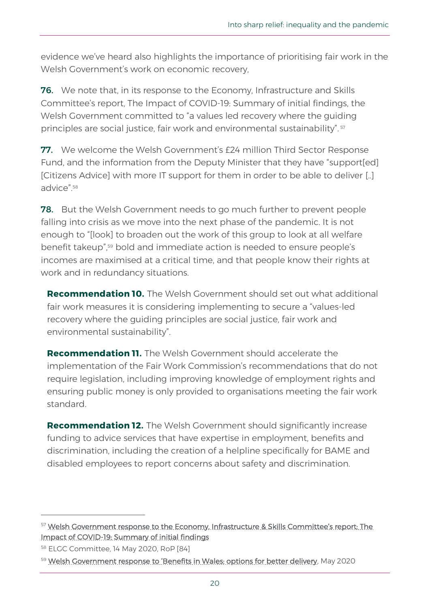evidence we've heard also highlights the importance of prioritising fair work in the Welsh Government's work on economic recovery,

**76.** We note that, in its response to the Economy, Infrastructure and Skills Committee's report, The Impact of COVID-19: Summary of initial findings, the Welsh Government committed to "a values led recovery where the guiding principles are social justice, fair work and environmental sustainability". <sup>57</sup>

77. We welcome the Welsh Government's £24 million Third Sector Response Fund, and the information from the Deputy Minister that they have "support[ed] [Citizens Advice] with more IT support for them in order to be able to deliver [..] advice" 58

78. But the Welsh Government needs to go much further to prevent people falling into crisis as we move into the next phase of the pandemic. It is not enough to "[look] to broaden out the work of this group to look at all welfare benefit takeup", <sup>59</sup> bold and immediate action is needed to ensure people's incomes are maximised at a critical time, and that people know their rights at work and in redundancy situations.

**Recommendation 10.** The Welsh Government should set out what additional fair work measures it is considering implementing to secure a "values-led recovery where the guiding principles are social justice, fair work and environmental sustainability".

**Recommendation 11.** The Welsh Government should accelerate the implementation of the Fair Work Commission's recommendations that do not require legislation, including improving knowledge of employment rights and ensuring public money is only provided to organisations meeting the fair work standard.

**Recommendation 12.** The Welsh Government should significantly increase funding to advice services that have expertise in employment, benefits and discrimination, including the creation of a helpline specifically for BAME and disabled employees to report concerns about safety and discrimination.

<sup>58</sup> ELGC Committee, 14 May 2020, RoP [84]

<sup>&</sup>lt;sup>57</sup> Welsh Government response to the Economy, Infrastructure & Skills Committee's report: The [Impact of COVID-19: Summary of initial findings](https://senedd.wales/laid%20documents/cr-ld13348/cr-ld13348-e.pdf)

<sup>59</sup> [Welsh Government response to 'Benefits in Wales: options for better delivery](https://business.senedd.wales/documents/s101387/Updated%20Welsh%20Government%20response%20to%20the%20Committee%20report%2020%20May%202020.pdf), May 2020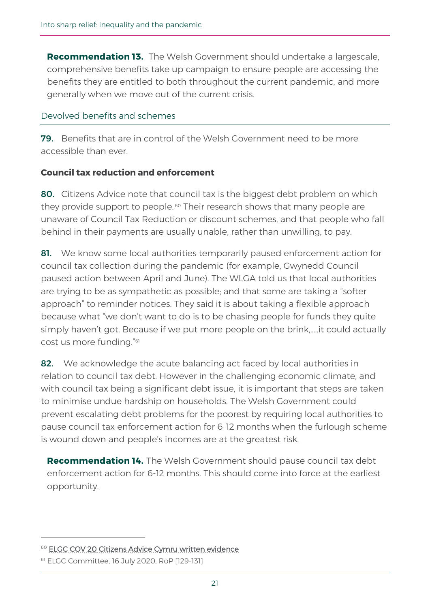**Recommendation 13.** The Welsh Government should undertake a largescale, comprehensive benefits take up campaign to ensure people are accessing the benefits they are entitled to both throughout the current pandemic, and more generally when we move out of the current crisis.

#### Devolved benefits and schemes

79. Benefits that are in control of the Welsh Government need to be more accessible than ever.

#### **Council tax reduction and enforcement**

80. Citizens Advice note that council tax is the biggest debt problem on which they provide support to people.<sup>60</sup> Their research shows that many people are unaware of Council Tax Reduction or discount schemes, and that people who fall behind in their payments are usually unable, rather than unwilling, to pay.

81. We know some local authorities temporarily paused enforcement action for council tax collection during the pandemic (for example, Gwynedd Council paused action between April and June). The WLGA told us that local authorities are trying to be as sympathetic as possible; and that some are taking a "softer approach" to reminder notices. They said it is about taking a flexible approach because what "we don't want to do is to be chasing people for funds they quite simply haven't got. Because if we put more people on the brink,…..it could actually cost us more funding."<sup>61</sup>

82. We acknowledge the acute balancing act faced by local authorities in relation to council tax debt. However in the challenging economic climate, and with council tax being a significant debt issue, it is important that steps are taken to minimise undue hardship on households. The Welsh Government could prevent escalating debt problems for the poorest by requiring local authorities to pause council tax enforcement action for 6-12 months when the furlough scheme is wound down and people's incomes are at the greatest risk.

**Recommendation 14.** The Welsh Government should pause council tax debt enforcement action for 6-12 months. This should come into force at the earliest opportunity.

<sup>&</sup>lt;sup>60</sup> [ELGC COV 20 Citizens Advice Cymru written evidence](https://business.senedd.wales/documents/s101729/ELGC%20COV%2020%20-%20Citizens%20Advice%20Cymru.pdf)

<sup>61</sup> ELGC Committee, 16 July 2020, RoP [129-131]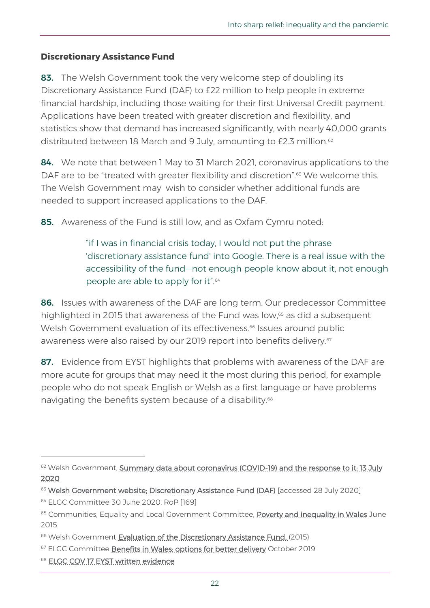## **Discretionary Assistance Fund**

83. The Welsh Government took the very welcome step of doubling its Discretionary Assistance Fund (DAF) to £22 million to help people in extreme financial hardship, including those waiting for their first Universal Credit payment. Applications have been treated with greater discretion and flexibility, and statistics show that demand has increased significantly, with nearly 40,000 grants distributed between 18 March and 9 July, amounting to £2.3 million.<sup>62</sup>

84. We note that between 1 May to 31 March 2021, coronavirus applications to the DAF are to be "treated with greater flexibility and discretion".<sup>63</sup> We welcome this. The Welsh Government may wish to consider whether additional funds are needed to support increased applications to the DAF.

85. Awareness of the Fund is still low, and as Oxfam Cymru noted:

"if I was in financial crisis today, I would not put the phrase 'discretionary assistance fund' into Google. There is a real issue with the accessibility of the fund—not enough people know about it, not enough people are able to apply for it".<sup>64</sup>

86. Issues with awareness of the DAF are long term. Our predecessor Committee highlighted in 2015 that awareness of the Fund was low, <sup>65</sup> as did a subsequent Welsh Government evaluation of its effectiveness.<sup>66</sup> Issues around public awareness were also raised by our 2019 report into benefits delivery.<sup>67</sup>

87. Evidence from EYST highlights that problems with awareness of the DAF are more acute for groups that may need it the most during this period, for example people who do not speak English or Welsh as a first language or have problems navigating the benefits system because of a disability.<sup>68</sup>

<sup>62</sup> Welsh Government, Summary data about coronavirus (COVID-19) and the response to it: 13 July [2020](https://gov.wales/summary-data-about-coronavirus-covid-19-and-response-it-13-july-2020)

<sup>63</sup> Welsh Government website: Discretionary Assistance Fund (DAF) [accessed 28 July 2020]

<sup>64</sup> ELGC Committee 30 June 2020, RoP [169]

<sup>&</sup>lt;sup>65</sup> Communities, Equality and Local Government Committee, **Poverty and inequality in Wales** June 2015

<sup>66</sup> Welsh Government [Evaluation of the Discretionary Assistance Fund,](https://gov.wales/sites/default/files/statistics-and-research/2018-12/150128-evaluation-discretionary-assistance-fund-en.pdf) (2015)

<sup>&</sup>lt;sup>67</sup> ELGC Committee **Benefits in Wales: options for better delivery** October 2019

<sup>68</sup> [ELGC COV 17 EYST written evidence](https://business.senedd.wales/documents/s101492/ELGC%20COV%2017%20-%20Ethnic%20Minorities%20Youth%20Support%20Team.pdf)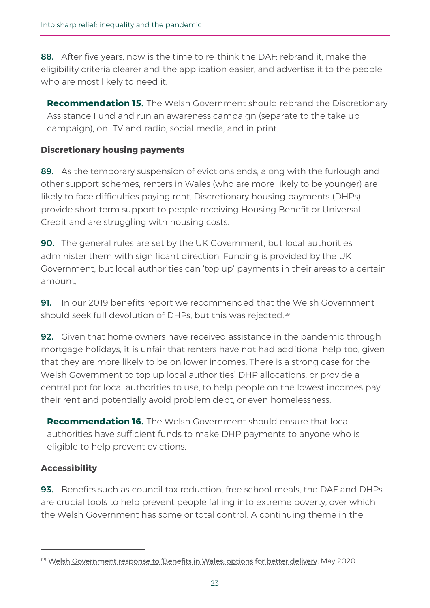88. After five years, now is the time to re-think the DAF: rebrand it, make the eligibility criteria clearer and the application easier, and advertise it to the people who are most likely to need it.

**Recommendation 15.** The Welsh Government should rebrand the Discretionary Assistance Fund and run an awareness campaign (separate to the take up campaign), on TV and radio, social media, and in print.

## **Discretionary housing payments**

89. As the temporary suspension of evictions ends, along with the furlough and other support schemes, renters in Wales (who are more likely to be younger) are likely to face difficulties paying rent. Discretionary housing payments (DHPs) provide short term support to people receiving Housing Benefit or Universal Credit and are struggling with housing costs.

**90.** The general rules are set by the UK Government, but local authorities administer them with significant direction. Funding is provided by the UK Government, but local authorities can 'top up' payments in their areas to a certain amount.

**91.** In our 2019 benefits report we recommended that the Welsh Government should seek full devolution of DHPs, but this was rejected.<sup>69</sup>

**92.** Given that home owners have received assistance in the pandemic through mortgage holidays, it is unfair that renters have not had additional help too, given that they are more likely to be on lower incomes. There is a strong case for the Welsh Government to top up local authorities' DHP allocations, or provide a central pot for local authorities to use, to help people on the lowest incomes pay their rent and potentially avoid problem debt, or even homelessness.

**Recommendation 16.** The Welsh Government should ensure that local authorities have sufficient funds to make DHP payments to anyone who is eligible to help prevent evictions.

## **Accessibility**

93. Benefits such as council tax reduction, free school meals, the DAF and DHPs are crucial tools to help prevent people falling into extreme poverty, over which the Welsh Government has some or total control. A continuing theme in the

<sup>69</sup> [Welsh Government response to 'Benefits in Wales: options for better delivery](https://business.senedd.wales/documents/s101387/Updated%20Welsh%20Government%20response%20to%20the%20Committee%20report%2020%20May%202020.pdf), May 2020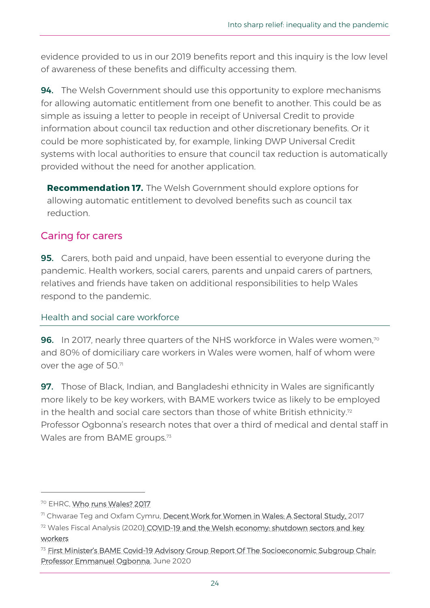evidence provided to us in our 2019 benefits report and this inquiry is the low level of awareness of these benefits and difficulty accessing them.

**94.** The Welsh Government should use this opportunity to explore mechanisms for allowing automatic entitlement from one benefit to another. This could be as simple as issuing a letter to people in receipt of Universal Credit to provide information about council tax reduction and other discretionary benefits. Or it could be more sophisticated by, for example, linking DWP Universal Credit systems with local authorities to ensure that council tax reduction is automatically provided without the need for another application.

**Recommendation 17.** The Welsh Government should explore options for allowing automatic entitlement to devolved benefits such as council tax reduction.

# Caring for carers

**95.** Carers, both paid and unpaid, have been essential to everyone during the pandemic. Health workers, social carers, parents and unpaid carers of partners, relatives and friends have taken on additional responsibilities to help Wales respond to the pandemic.

## Health and social care workforce

**96.** In 2017, nearly three quarters of the NHS workforce in Wales were women,<sup>70</sup> and 80% of domiciliary care workers in Wales were women, half of whom were over the age of 50. $71$ 

**97.** Those of Black, Indian, and Bangladeshi ethnicity in Wales are significantly more likely to be key workers, with BAME workers twice as likely to be employed in the health and social care sectors than those of white British ethnicity.<sup>72</sup> Professor Ogbonna's research notes that over a third of medical and dental staff in Wales are from BAME groups.<sup>73</sup>

<sup>&</sup>lt;sup>70</sup> EHRC, Who runs Wales? 2017

<sup>&</sup>lt;sup>7</sup> Chwarae Teg and Oxfam Cymru, [Decent Work for Women in Wales: A Sectoral Study,](https://chwaraeteg.com/wp-content/uploads/2019/01/Study-Decent-Work-for-Women-in-Wales-Oct-2017-report.pdf) 2017 <sup>72</sup> Wales Fiscal Analysis (2020) COVID-19 and the Welsh economy: shutdown sectors and key [workers](https://www.cardiff.ac.uk/__data/assets/pdf_file/0009/2409921/Covid_economy_report_1_Final_rep.pdf)

<sup>&</sup>lt;sup>73</sup> First Minister's BAME Covid-19 Advisory Group Report Of The Socioeconomic Subgroup Chair: [Professor Emmanuel Ogbonna,](https://gov.wales/sites/default/files/publications/2020-06/first-ministers-bame-covid-19-advisory-group-report-of-the-socioeconomic-subgroup.pdf) June 2020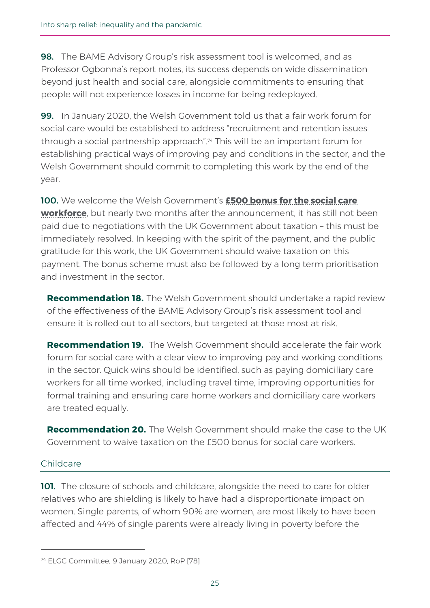**98.** The BAME Advisory Group's risk assessment tool is welcomed, and as Professor Ogbonna's report notes, its success depends on wide dissemination beyond just health and social care, alongside commitments to ensuring that people will not experience losses in income for being redeployed.

99. In January 2020, the Welsh Government told us that a fair work forum for social care would be established to address "recruitment and retention issues through a social partnership approach".<sup>74</sup> This will be an important forum for establishing practical ways of improving pay and conditions in the sector, and the Welsh Government should commit to completing this work by the end of the year.

100. We welcome the Welsh Government's **[£500 bonus for the social care](https://gov.wales/social-care-workforce-special-payment-scheme)  [workforce](https://gov.wales/social-care-workforce-special-payment-scheme)**, but nearly two months after the announcement, it has still not been paid due to negotiations with the UK Government about taxation – this must be immediately resolved. In keeping with the spirit of the payment, and the public gratitude for this work, the UK Government should waive taxation on this payment. The bonus scheme must also be followed by a long term prioritisation and investment in the sector.

**Recommendation 18.** The Welsh Government should undertake a rapid review of the effectiveness of the BAME Advisory Group's risk assessment tool and ensure it is rolled out to all sectors, but targeted at those most at risk.

**Recommendation 19.** The Welsh Government should accelerate the fair work forum for social care with a clear view to improving pay and working conditions in the sector. Quick wins should be identified, such as paying domiciliary care workers for all time worked, including travel time, improving opportunities for formal training and ensuring care home workers and domiciliary care workers are treated equally.

**Recommendation 20.** The Welsh Government should make the case to the UK Government to waive taxation on the £500 bonus for social care workers.

## Childcare

101. The closure of schools and childcare, alongside the need to care for older relatives who are shielding is likely to have had a disproportionate impact on women. Single parents, of whom 90% are women, are most likely to have been affected and 44% of single parents were already living in poverty before the

<sup>74</sup> ELGC Committee, 9 January 2020, RoP [78]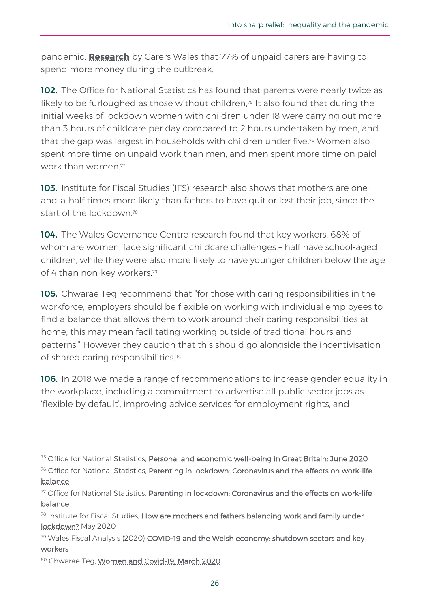pandemic. **[Research](https://www.carersuk.org/wales/news-campaigns/news/the-forgotten-families-in-lockdown-unpaid-carers-close-to-burnout-during-covid-19-crisis-wales)** by Carers Wales that 77% of unpaid carers are having to spend more money during the outbreak.

102. The Office for National Statistics has found that parents were nearly twice as likely to be furloughed as those without children, <sup>75</sup> It also found that during the initial weeks of lockdown women with children under 18 were carrying out more than 3 hours of childcare per day compared to 2 hours undertaken by men, and that the gap was largest in households with children under five. <sup>76</sup> Women also spent more time on unpaid work than men, and men spent more time on paid work than women?

103. Institute for Fiscal Studies (IFS) research also shows that mothers are oneand-a-half times more likely than fathers to have quit or lost their job, since the start of the lockdown. 78

104. The Wales Governance Centre research found that key workers, 68% of whom are women, face significant childcare challenges – half have school-aged children, while they were also more likely to have younger children below the age of 4 than non-key workers. 79

105. Chwarae Teg recommend that "for those with caring responsibilities in the workforce, employers should be flexible on working with individual employees to find a balance that allows them to work around their caring responsibilities at home; this may mean facilitating working outside of traditional hours and patterns." However they caution that this should go alongside the incentivisation of shared caring responsibilities. 80

**106.** In 2018 we made a range of recommendations to increase gender equality in the workplace, including a commitment to advertise all public sector jobs as 'flexible by default', improving advice services for employment rights, and

<sup>79</sup> Wales Fiscal Analysis (2020) COVID-19 and the Welsh economy: shutdown sectors and key [workers](https://www.cardiff.ac.uk/__data/assets/pdf_file/0009/2409921/Covid_economy_report_1_Final_rep.pdf)

<sup>75</sup> Office for National Statistics, [Personal and economic well-being in Great Britain: June 2020](https://www.ons.gov.uk/peoplepopulationandcommunity/wellbeing/bulletins/personalandeconomicwellbeingintheuk/june2020)

<sup>&</sup>lt;sup>76</sup> Office for National Statistics, **Parenting in lockdown: Coronavirus and the effects on work-life** [balance](https://www.ons.gov.uk/peoplepopulationandcommunity/healthandsocialcare/conditionsanddiseases/articles/parentinginlockdowncoronavirusandtheeffectsonworklifebalance/2020-07-22)

<sup>77</sup> Office for National Statistics, Parenting in lockdown: Coronavirus and the effects on work-life [balance](https://www.ons.gov.uk/peoplepopulationandcommunity/healthandsocialcare/conditionsanddiseases/articles/parentinginlockdowncoronavirusandtheeffectsonworklifebalance/2020-07-22)

<sup>&</sup>lt;sup>78</sup> Institute for Fiscal Studies, How are mothers and fathers balancing work and family under [lockdown?](https://www.ifs.org.uk/uploads/BN290-Mothers-and-fathers-balancing-work-and-life-under-lockdown.pdf) May 2020

<sup>80</sup> Chwarae Teg, [Women and Covid-19, March 2020](https://chwaraeteg.com/wp-content/uploads/2020/04/FINAL-UK-Briefing-on-Women-and-Covid-19.pdf)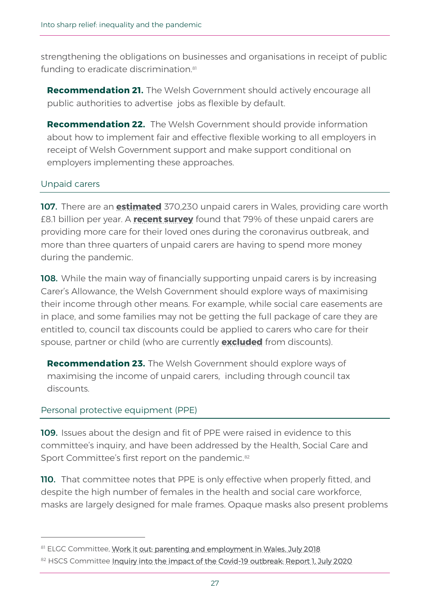strengthening the obligations on businesses and organisations in receipt of public funding to eradicate discrimination.<sup>81</sup>

**Recommendation 21.** The Welsh Government should actively encourage all public authorities to advertise jobs as flexible by default.

**Recommendation 22.** The Welsh Government should provide information about how to implement fair and effective flexible working to all employers in receipt of Welsh Government support and make support conditional on employers implementing these approaches.

## Unpaid carers

107. There are an **[estimated](https://www.carersuk.org/wales/about-us/facts-and-figures)** 370,230 unpaid carers in Wales, providing care worth £8.1 billion per year. A **[recent survey](https://www.carersuk.org/news-and-campaigns/news/the-forgotten-families-in-lockdown-unpaid-carers-close-to-burnout-during-covid-19-crisis-wales)** found that 79% of these unpaid carers are providing more care for their loved ones during the coronavirus outbreak, and more than three quarters of unpaid carers are having to spend more money during the pandemic.

**108.** While the main way of financially supporting unpaid carers is by increasing Carer's Allowance, the Welsh Government should explore ways of maximising their income through other means. For example, while social care easements are in place, and some families may not be getting the full package of care they are entitled to, council tax discounts could be applied to carers who care for their spouse, partner or child (who are currently **[excluded](https://gov.wales/council-tax-discounts-and-reduction/carers)** from discounts).

**Recommendation 23.** The Welsh Government should explore ways of maximising the income of unpaid carers, including through council tax discounts.

## Personal protective equipment (PPE)

109. Issues about the design and fit of PPE were raised in evidence to this committee's inquiry, and have been addressed by the Health, Social Care and Sport Committee's first report on the pandemic.<sup>82</sup>

110. That committee notes that PPE is only effective when properly fitted, and despite the high number of females in the health and social care workforce, masks are largely designed for male frames. Opaque masks also present problems

<sup>81</sup> ELGC Committee, [Work it out: parenting and employment in Wales.](http://www.assembly.wales/laid%20documents/cr-ld11669/cr-ld11669-e.pdf) July 2018

<sup>82</sup> HSCS Committee [Inquiry into the impact of the Covid-19 outbreak: Report 1,](https://senedd.wales/laid%20documents/cr-ld13304/cr-ld13304%20-e.pdf) July 2020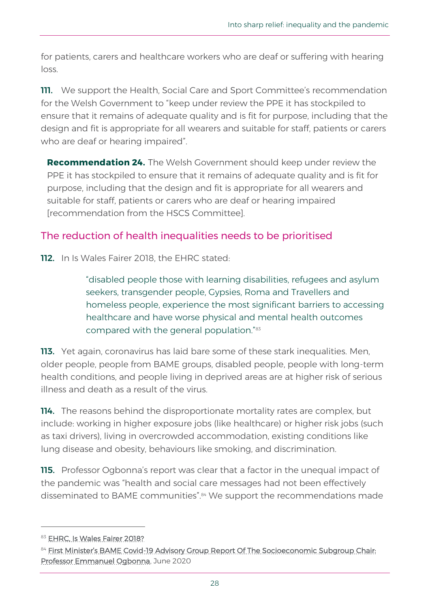for patients, carers and healthcare workers who are deaf or suffering with hearing loss.

**111.** We support the Health, Social Care and Sport Committee's recommendation for the Welsh Government to "keep under review the PPE it has stockpiled to ensure that it remains of adequate quality and is fit for purpose, including that the design and fit is appropriate for all wearers and suitable for staff, patients or carers who are deaf or hearing impaired".

**Recommendation 24.** The Welsh Government should keep under review the PPE it has stockpiled to ensure that it remains of adequate quality and is fit for purpose, including that the design and fit is appropriate for all wearers and suitable for staff, patients or carers who are deaf or hearing impaired [recommendation from the HSCS Committee].

# The reduction of health inequalities needs to be prioritised

112. In Is Wales Fairer 2018, the EHRC stated:

"disabled people those with learning disabilities, refugees and asylum seekers, transgender people, Gypsies, Roma and Travellers and homeless people, experience the most significant barriers to accessing healthcare and have worse physical and mental health outcomes compared with the general population."<sup>83</sup>

113. Yet again, coronavirus has laid bare some of these stark inequalities. Men, older people, people from BAME groups, disabled people, people with long-term health conditions, and people living in deprived areas are at higher risk of serious illness and death as a result of the virus.

**114.** The reasons behind the disproportionate mortality rates are complex, but include: working in higher exposure jobs (like healthcare) or higher risk jobs (such as taxi drivers), living in overcrowded accommodation, existing conditions like lung disease and obesity, behaviours like smoking, and discrimination.

115. Professor Ogbonna's report was clear that a factor in the unequal impact of the pandemic was "health and social care messages had not been effectively disseminated to BAME communities".<sup>84</sup> We support the recommendations made

<sup>83</sup> [EHRC, Is Wales Fairer 2018?](https://www.equalityhumanrights.com/sites/default/files/is-britain-fairer-2018-is-wales-fairer.pdf)

<sup>84</sup> First Minister's BAME Covid-19 Advisory Group Report Of The Socioeconomic Subgroup Chair: [Professor Emmanuel Ogbonna,](https://gov.wales/sites/default/files/publications/2020-06/first-ministers-bame-covid-19-advisory-group-report-of-the-socioeconomic-subgroup.pdf) June 2020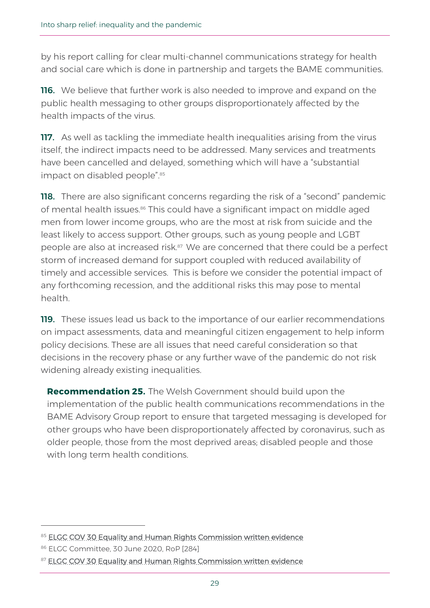by his report calling for clear multi-channel communications strategy for health and social care which is done in partnership and targets the BAME communities.

**116.** We believe that further work is also needed to improve and expand on the public health messaging to other groups disproportionately affected by the health impacts of the virus.

117. As well as tackling the immediate health inequalities arising from the virus itself, the indirect impacts need to be addressed. Many services and treatments have been cancelled and delayed, something which will have a "substantial impact on disabled people".<sup>85</sup>

**118.** There are also significant concerns regarding the risk of a "second" pandemic of mental health issues. <sup>86</sup> This could have a significant impact on middle aged men from lower income groups, who are the most at risk from suicide and the least likely to access support. Other groups, such as young people and LGBT people are also at increased risk.<sup>87</sup> We are concerned that there could be a perfect storm of increased demand for support coupled with reduced availability of timely and accessible services. This is before we consider the potential impact of any forthcoming recession, and the additional risks this may pose to mental health.

119. These issues lead us back to the importance of our earlier recommendations on impact assessments, data and meaningful citizen engagement to help inform policy decisions. These are all issues that need careful consideration so that decisions in the recovery phase or any further wave of the pandemic do not risk widening already existing inequalities.

**Recommendation 25.** The Welsh Government should build upon the implementation of the public health communications recommendations in the BAME Advisory Group report to ensure that targeted messaging is developed for other groups who have been disproportionately affected by coronavirus, such as older people, those from the most deprived areas; disabled people and those with long term health conditions.

<sup>85</sup> [ELGC COV 30 Equality and Human Rights Commission written evidence](https://business.senedd.wales/documents/s102950/ELGC%20COV%2030%20-%20Equality%20and%20Human%20Rights%20Commission.pdf)

<sup>86</sup> ELGC Committee, 30 June 2020, RoP [284]

<sup>87</sup> [ELGC COV 30 Equality and Human Rights Commission written evidence](https://business.senedd.wales/documents/s102950/ELGC%20COV%2030%20-%20Equality%20and%20Human%20Rights%20Commission.pdf)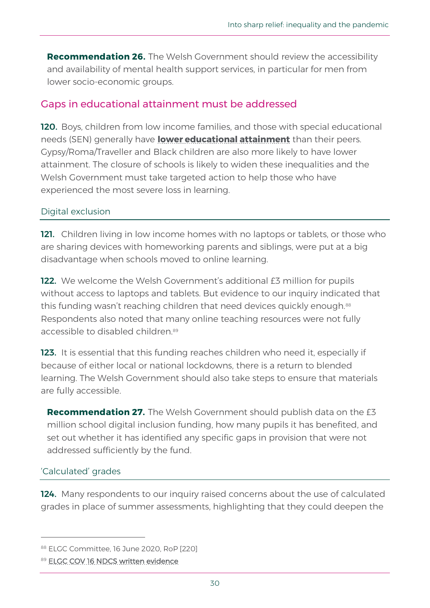**Recommendation 26.** The Welsh Government should review the accessibility and availability of mental health support services, in particular for men from lower socio-economic groups.

# Gaps in educational attainment must be addressed

120. Boys, children from low income families, and those with special educational needs (SEN) generally have **[lower educational attainment](https://www.equalityhumanrights.com/sites/default/files/is-britain-fairer-2018-is-wales-fairer.pdf)** than their peers. Gypsy/Roma/Traveller and Black children are also more likely to have lower attainment. The closure of schools is likely to widen these inequalities and the Welsh Government must take targeted action to help those who have experienced the most severe loss in learning.

## Digital exclusion

121. Children living in low income homes with no laptops or tablets, or those who are sharing devices with homeworking parents and siblings, were put at a big disadvantage when schools moved to online learning.

122. We welcome the Welsh Government's additional £3 million for pupils without access to laptops and tablets. But evidence to our inquiry indicated that this funding wasn't reaching children that need devices quickly enough.<sup>88</sup> Respondents also noted that many online teaching resources were not fully accessible to disabled children.<sup>89</sup>

123. It is essential that this funding reaches children who need it, especially if because of either local or national lockdowns, there is a return to blended learning. The Welsh Government should also take steps to ensure that materials are fully accessible.

**Recommendation 27.** The Welsh Government should publish data on the £3 million school digital inclusion funding, how many pupils it has benefited, and set out whether it has identified any specific gaps in provision that were not addressed sufficiently by the fund.

## 'Calculated' grades

124. Many respondents to our inquiry raised concerns about the use of calculated grades in place of summer assessments, highlighting that they could deepen the

<sup>88</sup> ELGC Committee, 16 June 2020, RoP [220]

<sup>89</sup> [ELGC COV 16 NDCS written evidence](https://business.senedd.wales/documents/s101491/ELGC%20COV%2016%20-%20National%20Deaf%20Chidrens%20Society%20Cymru.pdf)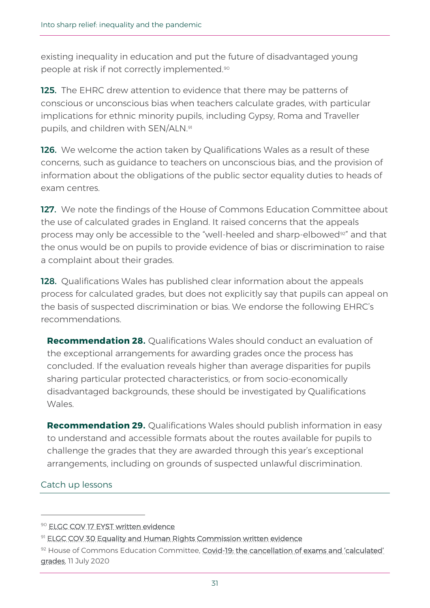existing inequality in education and put the future of disadvantaged young people at risk if not correctly implemented.<sup>90</sup>

125. The EHRC drew attention to evidence that there may be patterns of conscious or unconscious bias when teachers calculate grades, with particular implications for ethnic minority pupils, including Gypsy, Roma and Traveller pupils, and children with SEN/ALN.<sup>91</sup>

**126.** We welcome the action taken by Qualifications Wales as a result of these concerns, such as guidance to teachers on unconscious bias, and the provision of information about the obligations of the public sector equality duties to heads of exam centres.

127. We note the findings of the House of Commons Education Committee about the use of calculated grades in England. It raised concerns that the appeals process may only be accessible to the "well-heeled and sharp-elbowed<sup>92"</sup> and that the onus would be on pupils to provide evidence of bias or discrimination to raise a complaint about their grades.

128. Qualifications Wales has published clear information about the appeals [process](https://www.qualificationswales.org/media/6213/appeals-process-summer-2020.pdf) for calculated grades, but does not explicitly say that pupils can appeal on the basis of suspected discrimination or bias. We endorse the following EHRC's recommendations.

**Recommendation 28.** Qualifications Wales should conduct an evaluation of the exceptional arrangements for awarding grades once the process has concluded. If the evaluation reveals higher than average disparities for pupils sharing particular protected characteristics, or from socio-economically disadvantaged backgrounds, these should be investigated by Qualifications Wales.

**Recommendation 29.** Qualifications Wales should publish information in easy to understand and accessible formats about the routes available for pupils to challenge the grades that they are awarded through this year's exceptional arrangements, including on grounds of suspected unlawful discrimination.

#### Catch up lessons

<sup>90</sup> [ELGC COV 17 EYST written evidence](https://business.senedd.wales/documents/s101492/ELGC%20COV%2017%20-%20Ethnic%20Minorities%20Youth%20Support%20Team.pdf)

<sup>91</sup> [ELGC COV 30 Equality and Human Rights Commission written evidence](https://business.senedd.wales/documents/s102950/ELGC%20COV%2030%20-%20Equality%20and%20Human%20Rights%20Commission.pdf)

<sup>92</sup> House of Commons Education Committee, Covid-19: the cancellation of exams and 'calculated' [grades,](https://committees.parliament.uk/publications/1834/documents/17976/default/) 11 July 2020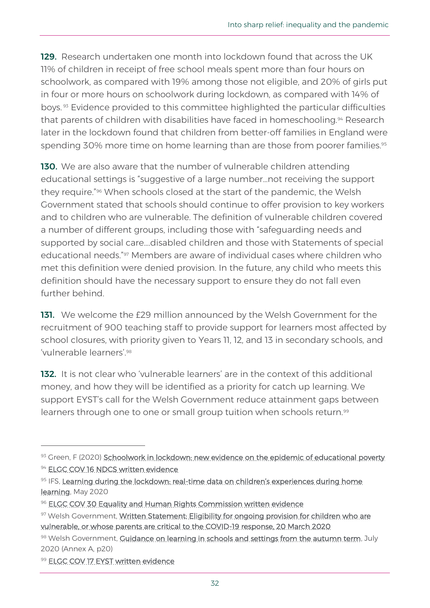129. Research undertaken one month into lockdown found that across the UK 11% of children in receipt of free school meals spent more than four hours on schoolwork, as compared with 19% among those not eligible, and 20% of girls put in four or more hours on schoolwork during lockdown, as compared with 14% of boys. <sup>93</sup> Evidence provided to this committee highlighted the particular difficulties that parents of children with disabilities have faced in homeschooling.<sup>94</sup> Research later in the lockdown found that children from better-off families in England were spending 30% more time on home learning than are those from poorer families.<sup>95</sup>

130. We are also aware that the number of vulnerable children attending educational settings is "suggestive of a large number…not receiving the support they require."<sup>96</sup> When schools closed at the start of the pandemic, the Welsh Government stated that schools should continue to offer provision to key workers and to children who are vulnerable. The definition of vulnerable children covered a number of different groups, including those with "safeguarding needs and supported by social care….disabled children and those with Statements of special educational needs."<sup>97</sup> Members are aware of individual cases where children who met this definition were denied provision. In the future, any child who meets this definition should have the necessary support to ensure they do not fall even further behind.

131. We welcome the £29 million announced by the Welsh Government for the recruitment of 900 teaching staff to provide support for learners most affected by school closures, with priority given to Years 11, 12, and 13 in secondary schools, and 'vulnerable learners' 98

132. It is not clear who 'vulnerable learners' are in the context of this additional money, and how they will be identified as a priority for catch up learning. We support EYST's call for the Welsh Government reduce attainment gaps between learners through one to one or small group tuition when schools return.<sup>99</sup>

<sup>93</sup> Green, F (2020) [Schoolwork in lockdown: new evidence on the epidemic of educational poverty](https://www.llakes.ac.uk/sites/default/files/LLAKES%20Working%20Paper%2067_0.pdf)

<sup>&</sup>lt;sup>94</sup> [ELGC COV 16 NDCS written evidence](https://business.senedd.wales/documents/s101491/ELGC%20COV%2016%20-%20National%20Deaf%20Chidrens%20Society%20Cymru.pdf)

<sup>95</sup> IFS, Learning during the lockdown: real-time data on children's experiences during home [learning,](https://www.ifs.org.uk/publications/14848) May 2020

<sup>96</sup> [ELGC COV 30 Equality and Human Rights Commission written evidence](https://business.senedd.wales/documents/s102950/ELGC%20COV%2030%20-%20Equality%20and%20Human%20Rights%20Commission.pdf)

<sup>97</sup> Welsh Government, Written Statement: Eligibility for ongoing provision for children who are [vulnerable, or whose parents are critical to the COVID-19 response, 20 March 2020](https://gov.wales/written-statement-eligibility-ongoing-provision-children-who-are-vulnerable-or-whose-parents-are)

<sup>98</sup> Welsh Government, [Guidance on learning in schools and settings from the autumn term,](https://gov.wales/sites/default/files/publications/2020-07/guidance-on-learning-in-schools-and-settings-from-the-autumn-term.pdf) July 2020 (Annex A, p20)

<sup>99</sup> [ELGC COV 17 EYST written evidence](https://business.senedd.wales/documents/s101492/ELGC%20COV%2017%20-%20Ethnic%20Minorities%20Youth%20Support%20Team.pdf)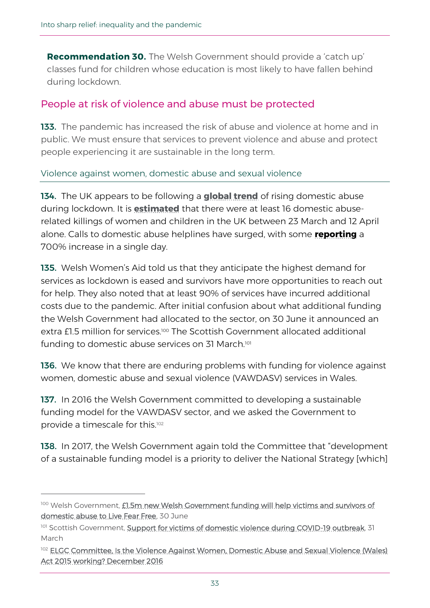**Recommendation 30.** The Welsh Government should provide a 'catch up' classes fund for children whose education is most likely to have fallen behind during lockdown.

## People at risk of violence and abuse must be protected

133. The pandemic has increased the risk of abuse and violence at home and in public. We must ensure that services to prevent violence and abuse and protect people experiencing it are sustainable in the long term.

Violence against women, domestic abuse and sexual violence

134. The UK appears to be following a **[global trend](https://www.unwomen.org/-/media/headquarters/attachments/sections/library/publications/2020/policy-brief-the-impact-of-covid-19-on-women-en.pdf?la=en&vs=1406)** of rising domestic abuse during lockdown. It is **[estimated](https://publications.parliament.uk/pa/cm5801/cmselect/cmhaff/321/321.pdf)** that there were at least 16 domestic abuserelated killings of women and children in the UK between 23 March and 12 April alone. Calls to domestic abuse helplines have surged, with some **[reporting](https://www.theguardian.com/society/2020/apr/12/domestic-violence-surges-seven-hundred-per-cent-uk-coronavirus?CMP=Share_iOSApp_Other)** a 700% increase in a single day.

135. Welsh Women's Aid told us that they anticipate the highest demand for services as lockdown is eased and survivors have more opportunities to reach out for help. They also noted that at least 90% of services have incurred additional costs due to the pandemic. After initial confusion about what additional funding the Welsh Government had allocated to the sector, on 30 June it announced an extra £1.5 million for services.<sup>100</sup> The Scottish Government allocated additional funding to domestic abuse services on 31 March.<sup>101</sup>

136. We know that there are enduring problems with funding for violence against women, domestic abuse and sexual violence (VAWDASV) services in Wales.

137. In 2016 the Welsh Government committed to developing a sustainable funding model for the VAWDASV sector, and we asked the Government to provide a timescale for this.<sup>102</sup>

138. In 2017, the Welsh Government again told the Committee that "development of a sustainable funding model is a priority to deliver the National Strategy [which]

<sup>100</sup> Welsh Government, £1.5m new Welsh Government funding will help victims and survivors of [domestic abuse to Live Fear Free,](https://gov.wales/new-welsh-government-funding-will-help-victims-and-survivors-domestic-abuse-live-fear-free) 30 June

<sup>101</sup> Scottish Government, [Support for victims of domestic violence during COVID-19 outbreak,](https://www.gov.scot/news/support-for-victims-of-domestic-violence-during-covid-19-outbreak/) 31 March

<sup>&</sup>lt;sup>102</sup> ELGC Committee, Is the Violence Against Women, Domestic Abuse and Sexual Violence (Wales) [Act 2015 working? December 2016](https://senedd.wales/laid%20documents/cr-ld10863/cr-ld10863%20-%20e.pdf)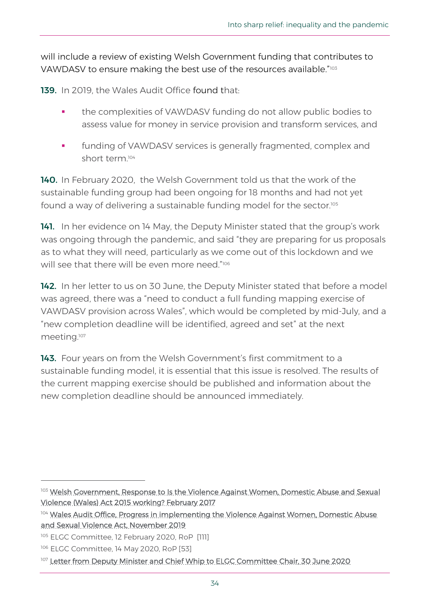will include a review of existing Welsh Government funding that contributes to VAWDASV to ensure making the best use of the resources available."<sup>103</sup>

139. In 2019, the Wales Audit Office [found](https://www.audit.wales/system/files/publications/VAWDASV_eng.pdf) that:

- the complexities of VAWDASV funding do not allow public bodies to assess value for money in service provision and transform services, and
- funding of VAWDASV services is generally fragmented, complex and short term.<sup>104</sup>

140. In February 2020, the Welsh Government told us that the work of the sustainable funding group had been ongoing for 18 months and had not yet found a way of delivering a sustainable funding model for the sector.<sup>105</sup>

141. In her evidence on 14 May, the Deputy Minister stated that the group's work was ongoing through the pandemic, and said "they are preparing for us proposals as to what they will need, particularly as we come out of this lockdown and we will see that there will be even more need."106

142. In her letter to us on 30 June, the Deputy Minister stated that before a model was agreed, there was a "need to conduct a full funding mapping exercise of VAWDASV provision across Wales", which would be completed by mid-July, and a "new completion deadline will be identified, agreed and set" at the next meeting.<sup>107</sup>

143. Four years on from the Welsh Government's first commitment to a sustainable funding model, it is essential that this issue is resolved. The results of the current mapping exercise should be published and information about the new completion deadline should be announced immediately.

<sup>103</sup> Welsh Government, Response to Is the Violence Against Women, Domestic Abuse and Sexual [Violence \(Wales\) Act 2015 working? February 2017](https://senedd.wales/laid%20documents/gen-ld10923/gen-ld10923-e.pdf)

<sup>104</sup> Wales Audit Office, Progress in implementing the Violence Against Women, Domestic Abuse [and Sexual Violence Act, November 2019](https://www.audit.wales/system/files/publications/VAWDASV_eng.pdf)

<sup>&</sup>lt;sup>105</sup> ELGC Committee, 12 February 2020, RoP [111]

<sup>106</sup> ELGC Committee, 14 May 2020, RoP [53]

<sup>&</sup>lt;sup>107</sup> [Letter from Deputy Minister and Chief Whip to ELGC Committee Chair, 30 June 2020](https://business.senedd.wales/documents/s103345/Paper%205.pdf)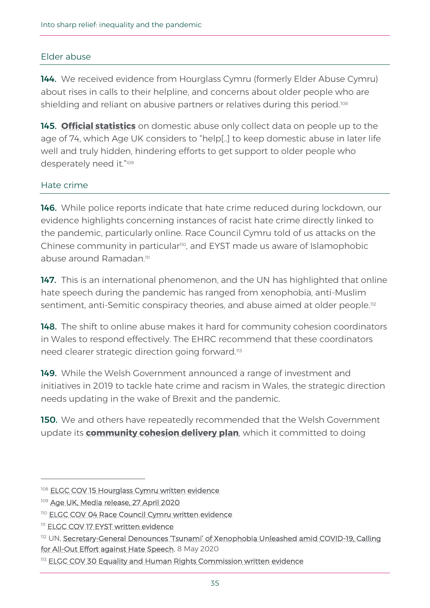## Elder abuse

144. We received evidence from Hourglass Cymru (formerly Elder Abuse Cymru) about rises in calls to their helpline, and concerns about older people who are shielding and reliant on abusive partners or relatives during this period.<sup>108</sup>

145. **[Official statistics](https://www.ons.gov.uk/peoplepopulationandcommunity/crimeandjustice/articles/domesticabuseprevalenceandtrendsenglandandwales/yearendingmarch2019)** on domestic abuse only collect data on people up to the age of 74, which Age UK considers to "help[..] to keep domestic abuse in later life well and truly hidden, hindering efforts to get support to older people who desperately need it."<sup>109</sup>

## Hate crime

**146.** While police reports indicate that hate crime reduced during lockdown, our evidence highlights concerning instances of racist hate crime directly linked to the pandemic, particularly online. Race Council Cymru told of us attacks on the Chinese community in particular<sup>110</sup>, and EYST made us aware of Islamophobic abuse around Ramadan<sup>111</sup>

147. This is an international phenomenon, and the UN has highlighted that online hate speech during the pandemic has ranged from xenophobia, anti-Muslim sentiment, anti-Semitic conspiracy theories, and abuse aimed at older people.<sup>112</sup>

148. The shift to online abuse makes it hard for community cohesion coordinators in Wales to respond effectively. The EHRC recommend that these coordinators need clearer strategic direction going forward.<sup>113</sup>

149. While the Welsh Government announced a range of investment and initiatives in 2019 to tackle hate crime and racism in Wales, the strategic direction needs updating in the wake of Brexit and the pandemic.

**150.** We and others have repeatedly recommended that the Welsh Government update its **[community cohesion delivery plan](https://beta.gov.wales/sites/default/files/publications/2019-01/community-cohesion-national-delivery-plan-2016-17.pdf)**, which it committed to doing

<sup>&</sup>lt;sup>108</sup> [ELGC COV 15 Hourglass Cymru written evidence](https://business.senedd.wales/documents/s101295/ELGC%20COV%2005%20-%20Hourglass%20Cymru.pdf)

<sup>109</sup> [Age UK, Media release, 27 April 2020](https://www.ageuk.org.uk/latest-press/articles/2020/04/280000-people-aged-60-to-74-experienced-domestic-abuse/)

<sup>110</sup> [ELGC COV 04 Race Council Cymru written evidence](https://business.senedd.wales/documents/s101294/ELGC%20COV%2004%20-%20Race%20Council%20Cymru.pdf)

<sup>&</sup>lt;sup>111</sup> [ELGC COV 17 EYST written evidence](https://business.senedd.wales/documents/s101492/ELGC%20COV%2017%20-%20Ethnic%20Minorities%20Youth%20Support%20Team.pdf)

<sup>112</sup> UN, Secretary-[General Denounces 'Tsunami' of Xenophobia Unleashed amid COVID](https://www.un.org/press/en/2020/sgsm20076.doc.htm)-19, Calling [for All-Out Effort against Hate Speech,](https://www.un.org/press/en/2020/sgsm20076.doc.htm) 8 May 2020

<sup>113</sup> [ELGC COV 30 Equality and Human Rights Commission written evidence](https://business.senedd.wales/documents/s102950/ELGC%20COV%2030%20-%20Equality%20and%20Human%20Rights%20Commission.pdf)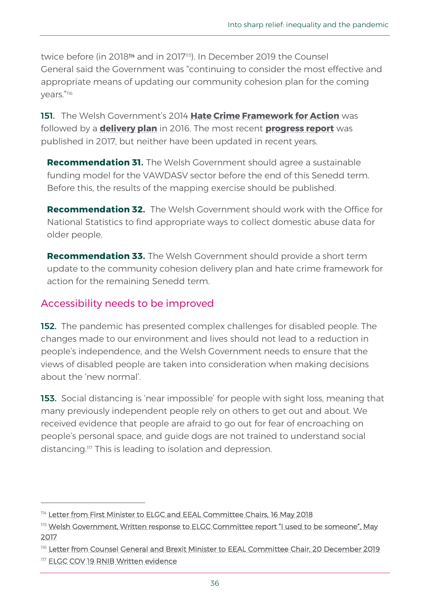twice before (in 2018<sup>114</sup> and in 2017115). In December 2019 the Counsel General said the Government was "continuing to consider the most effective and appropriate means of updating our community cohesion plan for the coming years."<sup>116</sup>

151. The Welsh Government's 2014 **[Hate Crime Framework for Action](https://webarchive.nationalarchives.gov.uk/20170727112443/http:/gov.wales/docs/dsjlg/publications/equality/140512-hate-crime-framework-delivery-plan-en.pdf)** was followed by a **[delivery plan](https://gov.wales/hate-crime-framework-delivery-plan-2016-2017)** in 2016. The most recent **[progress report](https://gov.wales/hate-crime-framework-progress-report-2016-2017)** was published in 2017, but neither have been updated in recent years.

**Recommendation 31.** The Welsh Government should agree a sustainable funding model for the VAWDASV sector before the end of this Senedd term. Before this, the results of the mapping exercise should be published.

**Recommendation 32.** The Welsh Government should work with the Office for National Statistics to find appropriate ways to collect domestic abuse data for older people.

**Recommendation 33.** The Welsh Government should provide a short term update to the community cohesion delivery plan and hate crime framework for action for the remaining Senedd term.

## Accessibility needs to be improved

**152.** The pandemic has presented complex challenges for disabled people. The changes made to our environment and lives should not lead to a reduction in people's independence, and the Welsh Government needs to ensure that the views of disabled people are taken into consideration when making decisions about the 'new normal'.

**153.** Social distancing is 'near impossible' for people with sight loss, meaning that many previously independent people rely on others to get out and about. We received evidence that people are afraid to go out for fear of encroaching on people's personal space, and guide dogs are not trained to understand social distancing.<sup>117</sup> This is leading to isolation and depression.

<sup>114</sup> [Letter from First Minister to ELGC and EEAL Committee Chairs, 16 May 2018](https://business.senedd.wales/documents/s75710/Correspondence%20from%20the%20First%20Minister%20to%20the%20Chair%20of%20the%20External%20Affairs%20and%20Additional%20Legislati.pdf)

<sup>115</sup> Welsh Government, Written response to ELGC Committee report "I used to be someone". May [2017](https://senedd.wales/laid%20documents/gen-ld11074/gen-ld11074-e.pdf)

<sup>116</sup> [Letter from Counsel General and Brexit Minister to EEAL Committee Chair, 20 December 2019](https://senedd.wales/laid%20documents/gen-ld12963/gen-ld12963%20-e.pdf)

<sup>117</sup> [ELGC COV 19 RNIB Written evidence](https://business.senedd.wales/documents/s101728/ELGC%20COV%2019%20-%20RNIB%20Cymru.pdf)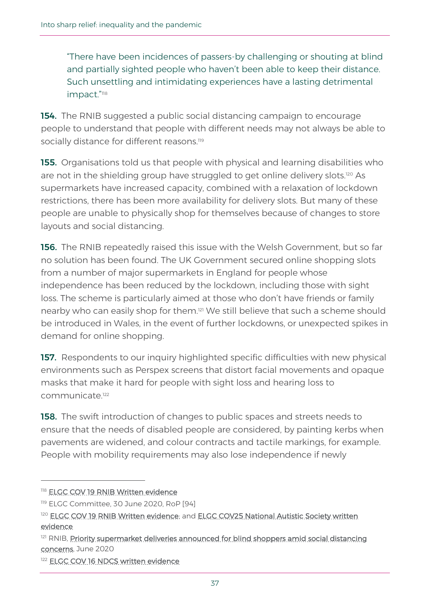"There have been incidences of passers-by challenging or shouting at blind and partially sighted people who haven't been able to keep their distance. Such unsettling and intimidating experiences have a lasting detrimental impact."<sup>118</sup>

154. The RNIB suggested a public social distancing campaign to encourage people to understand that people with different needs may not always be able to socially distance for different reasons.<sup>119</sup>

**155.** Organisations told us that people with physical and learning disabilities who are not in the shielding group have struggled to get online delivery slots.<sup>120</sup> As supermarkets have increased capacity, combined with a relaxation of lockdown restrictions, there has been more availability for delivery slots. But many of these people are unable to physically shop for themselves because of changes to store layouts and social distancing.

156. The RNIB repeatedly raised this issue with the Welsh Government, but so far no solution has been found. The UK Government secured online shopping slots from a number of major supermarkets in England for people whose independence has been reduced by the lockdown, including those with sight loss. The scheme is particularly aimed at those who don't have friends or family nearby who can easily shop for them.<sup>121</sup> We still believe that such a scheme should be introduced in Wales, in the event of further lockdowns, or unexpected spikes in demand for online shopping.

157. Respondents to our inquiry highlighted specific difficulties with new physical environments such as Perspex screens that distort facial movements and opaque masks that make it hard for people with sight loss and hearing loss to communicate.<sup>122</sup>

**158.** The swift introduction of changes to public spaces and streets needs to ensure that the needs of disabled people are considered, by painting kerbs when pavements are widened, and colour contracts and tactile markings, for example. People with mobility requirements may also lose independence if newly

<sup>118</sup> [ELGC COV 19 RNIB Written evidence](https://business.senedd.wales/documents/s101728/ELGC%20COV%2019%20-%20RNIB%20Cymru.pdf)

<sup>119</sup> ELGC Committee, 30 June 2020, RoP [94]

<sup>120</sup> [ELGC COV 19 RNIB Written evidence;](https://business.senedd.wales/documents/s101728/ELGC%20COV%2019%20-%20RNIB%20Cymru.pdf) and ELGC COV25 National Autistic Society written [evidence](https://business.senedd.wales/documents/s102382/ELGC%20COV%2025%20-%20National%20Autistic%20Society%20Cymru.pdf)

<sup>&</sup>lt;sup>121</sup> RNIB, Priority supermarket deliveries announced for blind shoppers amid social distancing [concerns,](https://www.rnib.org.uk/about-us/media-centre/latest-media-releases/priority-supermarket-deliveries-announced-blind-shoppers-amid-social-distancing-concerns) June 2020

<sup>122</sup> [ELGC COV 16 NDCS written evidence](https://business.senedd.wales/documents/s101491/ELGC%20COV%2016%20-%20National%20Deaf%20Chidrens%20Society%20Cymru.pdf)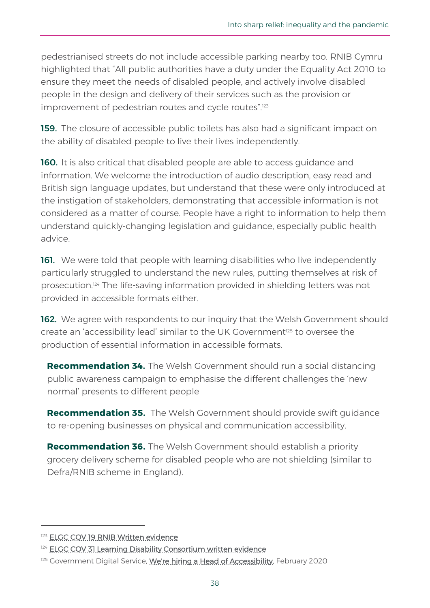pedestrianised streets do not include accessible parking nearby too. RNIB Cymru highlighted that "All public authorities have a duty under the Equality Act 2010 to ensure they meet the needs of disabled people, and actively involve disabled people in the design and delivery of their services such as the provision or improvement of pedestrian routes and cycle routes".<sup>123</sup>

159. The closure of accessible public toilets has also had a significant impact on the ability of disabled people to live their lives independently.

**160.** It is also critical that disabled people are able to access quidance and information. We welcome the introduction of audio description, easy read and British sign language updates, but understand that these were only introduced at the instigation of stakeholders, demonstrating that accessible information is not considered as a matter of course. People have a right to information to help them understand quickly-changing legislation and guidance, especially public health advice.

161. We were told that people with learning disabilities who live independently particularly struggled to understand the new rules, putting themselves at risk of prosecution.<sup>124</sup> The life-saving information provided in shielding letters was not provided in accessible formats either.

**162.** We agree with respondents to our inquiry that the Welsh Government should create an 'accessibility lead' similar to the UK Government<sup>125</sup> to oversee the production of essential information in accessible formats.

**Recommendation 34.** The Welsh Government should run a social distancing public awareness campaign to emphasise the different challenges the 'new normal' presents to different people

**Recommendation 35.** The Welsh Government should provide swift guidance to re-opening businesses on physical and communication accessibility.

**Recommendation 36.** The Welsh Government should establish a priority grocery delivery scheme for disabled people who are not shielding (similar to Defra/RNIB scheme in England).

<sup>&</sup>lt;sup>123</sup> [ELGC COV 19 RNIB Written evidence](https://business.senedd.wales/documents/s101728/ELGC%20COV%2019%20-%20RNIB%20Cymru.pdf)

<sup>&</sup>lt;sup>124</sup> [ELGC COV 31 Learning Disability Consortium written evidence](https://business.senedd.wales/documents/s102951/ELGC%20COV%2031%20-%20Learning%20Disability%20Consortium%20in%20Wales.pdf)

<sup>&</sup>lt;sup>125</sup> Government Digital Service, [We're hiring a Head of Accessibility,](https://gds.blog.gov.uk/2020/02/04/were-hiring-a-head-of-accessibility/) February 2020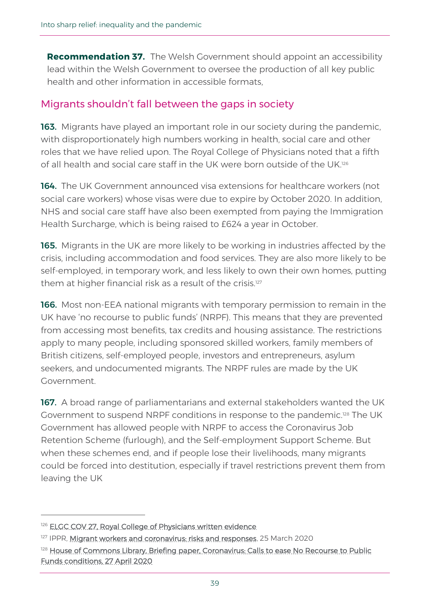**Recommendation 37.** The Welsh Government should appoint an accessibility lead within the Welsh Government to oversee the production of all key public health and other information in accessible formats,

# Migrants shouldn't fall between the gaps in society

**163.** Migrants have played an important role in our society during the pandemic, with disproportionately high numbers working in health, social care and other roles that we have relied upon. The Royal College of Physicians noted that a fifth of all health and social care staff in the UK were born outside of the UK.<sup>126</sup>

164. The UK Government announced visa extensions for healthcare workers (not social care workers) whose visas were due to expire by October 2020. In addition, NHS and social care staff have also been exempted from paying the Immigration Health Surcharge, which is being raised to £624 a year in October.

165. Migrants in the UK are more likely to be working in industries affected by the crisis, including accommodation and food services. They are also more likely to be self-employed, in temporary work, and less likely to own their own homes, putting them at higher financial risk as a result of the crisis.<sup>127</sup>

166. Most non-EEA national migrants with temporary permission to remain in the UK have 'no recourse to public funds' (NRPF). This means that they are prevented from accessing most benefits, tax credits and housing assistance. The restrictions apply to many people, including sponsored skilled workers, family members of British citizens, self-employed people, investors and entrepreneurs, asylum seekers, and undocumented migrants. The NRPF rules are made by the UK Government.

167. A broad range of parliamentarians and external stakeholders wanted the UK Government to suspend NRPF conditions in response to the pandemic.<sup>128</sup> The UK Government has allowed people with NRPF to access the Coronavirus Job Retention Scheme (furlough), and the Self-employment Support Scheme. But when these schemes end, and if people lose their livelihoods, many migrants could be forced into destitution, especially if travel restrictions prevent them from leaving the UK

<sup>&</sup>lt;sup>126</sup> [ELGC COV 27, Royal College of Physicians written evidence](https://business.senedd.wales/documents/s102385/ELGC%20COV%2028%20-%20Royal%20College%20of%20Physicians.pdf)

<sup>&</sup>lt;sup>127</sup> IPPR, [Migrant workers and coronavirus: risks and responses,](https://www.ippr.org/blog/migrant-workers-and-coronavirus) 25 March 2020

<sup>&</sup>lt;sup>128</sup> House of Commons Library, Briefing paper, Coronavirus: Calls to ease No Recourse to Public [Funds conditions, 27 April 2020](http://researchbriefings.files.parliament.uk/documents/CBP-8888/CBP-8888.pdf)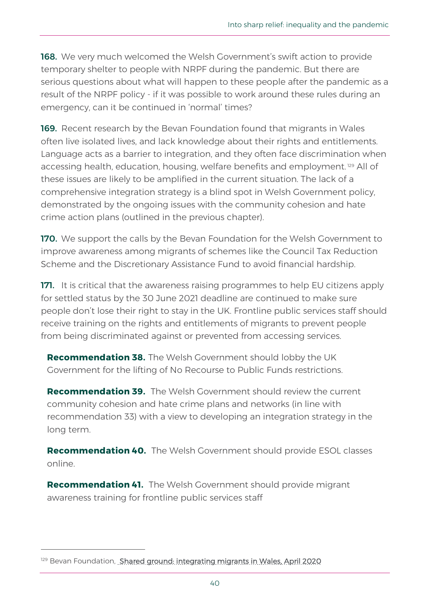**168.** We very much welcomed the Welsh Government's swift action to provide temporary shelter to people with NRPF during the pandemic. But there are serious questions about what will happen to these people after the pandemic as a result of the NRPF policy - if it was possible to work around these rules during an emergency, can it be continued in 'normal' times?

169. Recent research by the Bevan Foundation found that migrants in Wales often live isolated lives, and lack knowledge about their rights and entitlements. Language acts as a barrier to integration, and they often face discrimination when accessing health, education, housing, welfare benefits and employment.<sup>129</sup> All of these issues are likely to be amplified in the current situation. The lack of a comprehensive integration strategy is a blind spot in Welsh Government policy, demonstrated by the ongoing issues with the community cohesion and hate crime action plans (outlined in the previous chapter).

**170.** We support the calls by the Bevan Foundation for the Welsh Government to improve awareness among migrants of schemes like the Council Tax Reduction Scheme and the Discretionary Assistance Fund to avoid financial hardship.

171. It is critical that the awareness raising programmes to help EU citizens apply for settled status by the 30 June 2021 deadline are continued to make sure people don't lose their right to stay in the UK. Frontline public services staff should receive training on the rights and entitlements of migrants to prevent people from being discriminated against or prevented from accessing services.

**Recommendation 38.** The Welsh Government should lobby the UK Government for the lifting of No Recourse to Public Funds restrictions.

**Recommendation 39.** The Welsh Government should review the current community cohesion and hate crime plans and networks (in line with recommendation 33) with a view to developing an integration strategy in the long term.

**Recommendation 40.** The Welsh Government should provide ESOL classes online.

**Recommendation 41.** The Welsh Government should provide migrant awareness training for frontline public services staff

<sup>&</sup>lt;sup>129</sup> Bevan Foundation, [Shared ground: integrating migrants in Wales,](https://www.bevanfoundation.org/wp-content/uploads/2020/04/Shared-Ground-report.pdf) April 2020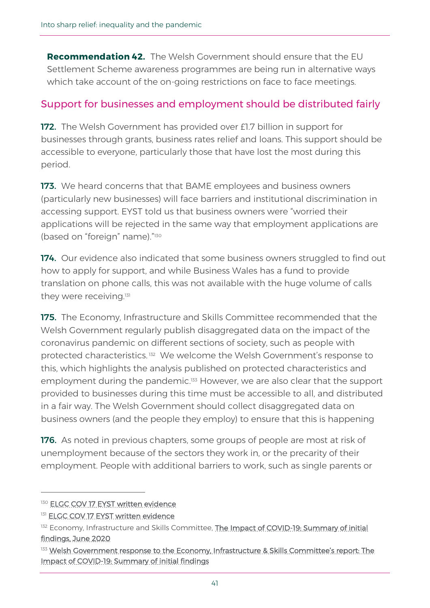**Recommendation 42.** The Welsh Government should ensure that the EU Settlement Scheme awareness programmes are being run in alternative ways which take account of the on-going restrictions on face to face meetings.

# Support for businesses and employment should be distributed fairly

172. The Welsh Government has provided over £1.7 billion in support for businesses through grants, business rates relief and loans. This support should be accessible to everyone, particularly those that have lost the most during this period.

173. We heard concerns that that BAME employees and business owners (particularly new businesses) will face barriers and institutional discrimination in accessing support. EYST told us that business owners were "worried their applications will be rejected in the same way that employment applications are (based on "foreign" name)." 130

174. Our evidence also indicated that some business owners struggled to find out how to apply for support, and while Business Wales has a fund to provide translation on phone calls, this was not available with the huge volume of calls they were receiving.<sup>131</sup>

**175.** The Economy, Infrastructure and Skills Committee recommended that the Welsh Government regularly publish disaggregated data on the impact of the coronavirus pandemic on different sections of society, such as people with protected characteristics. <sup>132</sup> We welcome the Welsh Government's response to this, which highlights the analysis published on protected characteristics and employment during the pandemic. <sup>133</sup> However, we are also clear that the support provided to businesses during this time must be accessible to all, and distributed in a fair way. The Welsh Government should collect disaggregated data on business owners (and the people they employ) to ensure that this is happening

**176.** As noted in previous chapters, some groups of people are most at risk of unemployment because of the sectors they work in, or the precarity of their employment. People with additional barriers to work, such as single parents or

<sup>130</sup> [ELGC COV 17 EYST written evidence](https://business.senedd.wales/documents/s101492/ELGC%20COV%2017%20-%20Ethnic%20Minorities%20Youth%20Support%20Team.pdf)

<sup>131</sup> [ELGC COV 17 EYST written evidence](https://business.senedd.wales/documents/s101492/ELGC%20COV%2017%20-%20Ethnic%20Minorities%20Youth%20Support%20Team.pdf)

<sup>132</sup> Economy, Infrastructure and Skills Committee, The Impact of COVID-19: Summary of initial [findings,](https://senedd.wales/laid%20documents/cr-ld13213/cr-ld13213%20-e.pdf) June 2020

<sup>&</sup>lt;sup>133</sup> Welsh Government response to the Economy, Infrastructure & Skills Committee's report: The [Impact of COVID-19: Summary of initial findings](https://senedd.wales/laid%20documents/cr-ld13348/cr-ld13348-e.pdf)